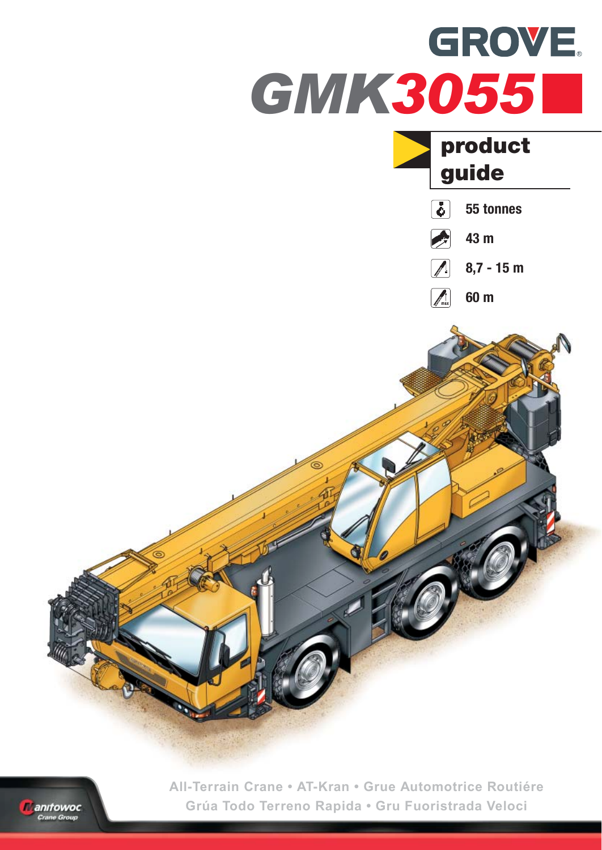



**All-Terrain Crane • AT-Kran • Grue Automotrice Routiére Grúa Todo Terreno Rapida • Gru Fuoristrada Veloci**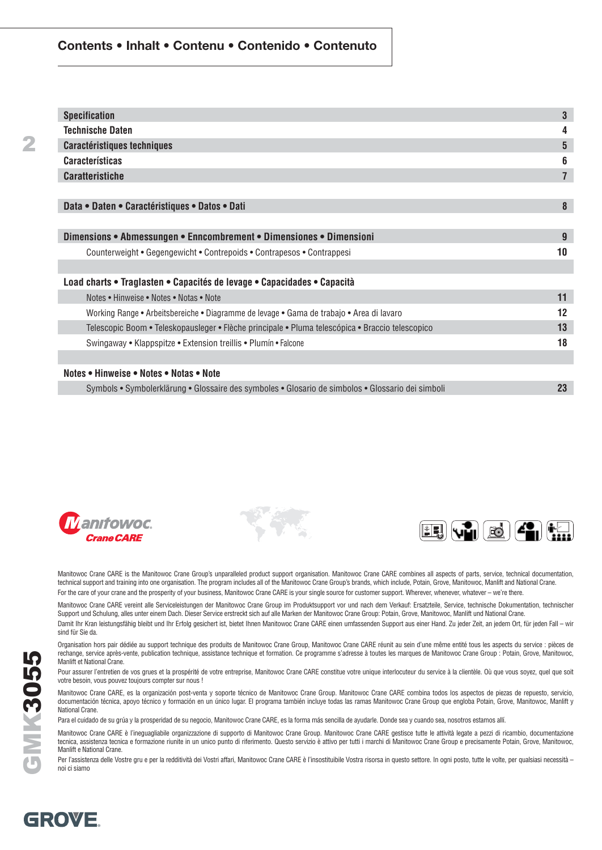#### **Contents • Inhalt • Contenu • Contenido • Contenuto**

| <b>Specification</b>                                                                              | 3              |
|---------------------------------------------------------------------------------------------------|----------------|
| <b>Technische Daten</b>                                                                           | 4              |
| <b>Caractéristiques techniques</b>                                                                | 5              |
| <b>Características</b>                                                                            | 6              |
| <b>Caratteristiche</b>                                                                            | $\overline{7}$ |
|                                                                                                   |                |
| Data • Daten • Caractéristiques • Datos • Dati                                                    | 8              |
|                                                                                                   |                |
| Dimensions • Abmessungen • Enncombrement • Dimensiones • Dimensioni                               | 9              |
| Counterweight • Gegengewicht • Contrepoids • Contrapesos • Contrappesi                            | 10             |
|                                                                                                   |                |
| Load charts • Traglasten • Capacités de levage • Capacidades • Capacità                           |                |
| Notes • Hinweise • Notes • Notas • Note                                                           | 11             |
| Working Range • Arbeitsbereiche • Diagramme de levage • Gama de trabajo • Area di lavaro          | 12             |
| Telescopic Boom • Teleskopausleger • Flèche principale • Pluma telescópica • Braccio telescopico  | 13             |
| Swingaway • Klappspitze • Extension treillis • Plumín • Falcone                                   | 18             |
|                                                                                                   |                |
| Notes • Hinweise • Notes • Notas • Note                                                           |                |
| Symbols • Symbolerklärung • Glossaire des symboles • Glosario de simbolos • Glossario dei simboli | 23             |







Manitowoc Crane CARE is the Manitowoc Crane Group's unparalleled product support organisation. Manitowoc Crane CARE combines all aspects of parts, service, technical documentation, technical support and training into one organisation. The program includes all of the Manitowoc Crane Group's brands, which include, Potain, Grove, Manitowoc, Manlift and National Crane. For the care of your crane and the prosperity of your business, Manitowoc Crane CARE is your single source for customer support. Wherever, whenever, whatever - we're there.

Manitowoc Crane CARE vereint alle Serviceleistungen der Manitowoc Crane Group im Produktsupport vor und nach dem Verkauf: Ersatzteile, Service, technische Dokumentation, technischer Support und Schulung, alles unter einem Dach. Dieser Service erstreckt sich auf alle Marken der Manitowoc Crane Group: Potain, Grove, Manitowoc, Manlift und National Crane. Damit Ihr Kran leistungsfähig bleibt und Ihr Erfolg gesichert ist, bietet Ihnen Manitowoc Crane CARE einen umfassenden Support aus einer Hand. Zu jeder Zeit, an jedem Ort, für jeden Fall – wir

sind für Sie da.

Organisation hors pair dédiée au support technique des produits de Manitowoc Crane Group, Manitowoc Crane CARE réunit au sein d'une même entité tous les aspects du service : pièces de rechange, service après-vente, publication technique, assistance technique et formation. Ce programme s'adresse à toutes les marques de Manitowoc Crane Group : Potain, Grove, Manitowoc, Manlift et National Crane.

Pour assurer l'entretien de vos grues et la prospérité de votre entreprise, Manitowoc Crane CARE constitue votre unique interlocuteur du service à la clientèle. Où que vous soyez, quel que soit votre besoin, vous pouvez toujours compter sur nous !

Manitowoc Crane CARE, es la organización post-venta y soporte técnico de Manitowoc Crane Group. Manitowoc Crane CARE combina todos los aspectos de piezas de repuesto, servicio, documentación técnica, apoyo técnico y formación en un único lugar. El programa también incluye todas las ramas Manitowoc Crane Group que engloba Potain, Grove, Manitowoc, Manlift y National Crane.

Para el cuidado de su grúa y la prosperidad de su negocio, Manitowoc Crane CARE, es la forma más sencilla de ayudarle. Donde sea y cuando sea, nosotros estamos allí.

Manitowoc Crane CARE è l'ineguagliabile organizzazione di supporto di Manitowoc Crane Group. Manitowoc Crane CARE gestisce tutte le attività legate a pezzi di ricambio, documentazione tecnica, assistenza tecnica e formazione riunite in un unico punto di riferimento. Questo servizio è attivo per tutti i marchi di Manitowoc Crane Group e precisamente Potain, Grove, Manitowoc, Manlift e National Crane.

Per l'assistenza delle Vostre gru e per la redditività dei Vostri affari, Manitowoc Crane CARE è l'insostituibile Vostra risorsa in questo settore. In ogni posto, tutte le volte, per qualsiasi necessità – noi ci siamo

GROVE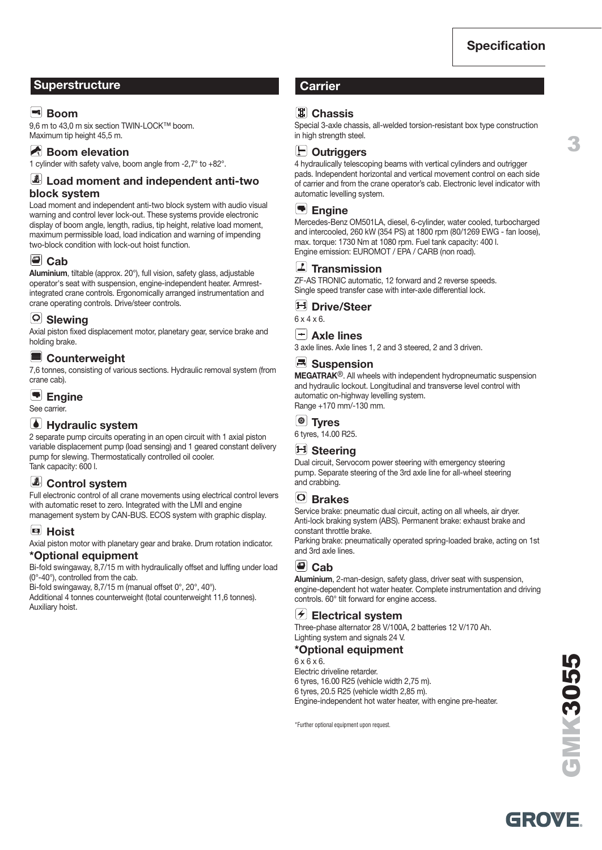**3**

#### **Superstructure Carrier Carrier**

#### **Ex** Boom

9.6 m to 43.0 m six section TWIN-LOCK™ boom. Maximum tip height 45,5 m.

#### **Boom elevation**

1 cylinder with safety valve, boom angle from -2,7° to +82°.

#### **Load moment and independent anti-two block system**

Load moment and independent anti-two block system with audio visual warning and control lever lock-out. These systems provide electronic display of boom angle, length, radius, tip height, relative load moment, maximum permissible load, load indication and warning of impending two-block condition with lock-out hoist function.

#### **Cab**

**Aluminium**, tiltable (approx. 20°), full vision, safety glass, adjustable operator's seat with suspension, engine-independent heater. Armrestintegrated crane controls. Ergonomically arranged instrumentation and crane operating controls. Drive/steer controls.

#### **Slewing**

Axial piston fixed displacement motor, planetary gear, service brake and holding brake.

#### E **Counterweight**

7,6 tonnes, consisting of various sections. Hydraulic removal system (from crane cab).

#### **Engine**

See carrier.

#### *<u>I</u>* Hydraulic system

2 separate pump circuits operating in an open circuit with 1 axial piston variable displacement pump (load sensing) and 1 geared constant delivery pump for slewing. Thermostatically controlled oil cooler. Tank capacity: 600 l.

#### **Control system**

Full electronic control of all crane movements using electrical control levers with automatic reset to zero. Integrated with the LMI and engine management system by CAN-BUS. ECOS system with graphic display.

#### **Hoist**

Axial piston motor with planetary gear and brake. Drum rotation indicator.

#### **\*Optional equipment**

Bi-fold swingaway, 8,7/15 m with hydraulically offset and luffing under load (0°-40°), controlled from the cab.

Bi-fold swingaway, 8,7/15 m (manual offset 0°, 20°, 40°).

Additional 4 tonnes counterweight (total counterweight 11,6 tonnes). Auxiliary hoist.

#### **Chassis**

Special 3-axle chassis, all-welded torsion-resistant box type construction in high strength steel.

#### **Outriggers**

4 hydraulically telescoping beams with vertical cylinders and outrigger pads. Independent horizontal and vertical movement control on each side of carrier and from the crane operator's cab. Electronic level indicator with automatic levelling system.

#### **Engine**

Mercedes-Benz OM501LA, diesel, 6-cylinder, water cooled, turbocharged and intercooled, 260 kW (354 PS) at 1800 rpm (80/1269 EWG - fan loose), max. torque: 1730 Nm at 1080 rpm. Fuel tank capacity: 400 l. Engine emission: EUROMOT / EPA / CARB (non road).

#### **Transmission**

ZF-AS TRONIC automatic, 12 forward and 2 reverse speeds. Single speed transfer case with inter-axle differential lock.

#### **Drive/Steer**

6 x 4 x 6.

#### **Axle lines**

3 axle lines. Axle lines 1, 2 and 3 steered, 2 and 3 driven.

#### **E** Suspension

**MEGATRAK**®. All wheels with independent hydropneumatic suspension and hydraulic lockout. Longitudinal and transverse level control with automatic on-highway levelling system. Range +170 mm/-130 mm.

#### **Tyres**

6 tyres, 14.00 R25.

#### **H** Steering

Dual circuit, Servocom power steering with emergency steering pump. Separate steering of the 3rd axle line for all-wheel steering and crabbing.

#### **Brakes**

Service brake: pneumatic dual circuit, acting on all wheels, air dryer. Anti-lock braking system (ABS). Permanent brake: exhaust brake and constant throttle brake.

Parking brake: pneumatically operated spring-loaded brake, acting on 1st and 3rd axle lines.

#### **Cab**

**Aluminium**, 2-man-design, safety glass, driver seat with suspension, engine-dependent hot water heater. Complete instrumentation and driving controls. 60° tilt forward for engine access.

#### **Electrical system**

Three-phase alternator 28 V/100A, 2 batteries 12 V/170 Ah. Lighting system and signals 24 V.

#### **\*Optional equipment**

 $6 \times 6 \times 6$ . Electric driveline retarder. 6 tyres, 16.00 R25 (vehicle width 2,75 m). 6 tyres, 20.5 R25 (vehicle width 2,85 m). Engine-independent hot water heater, with engine pre-heater.

\*Further optional equipment upon request.

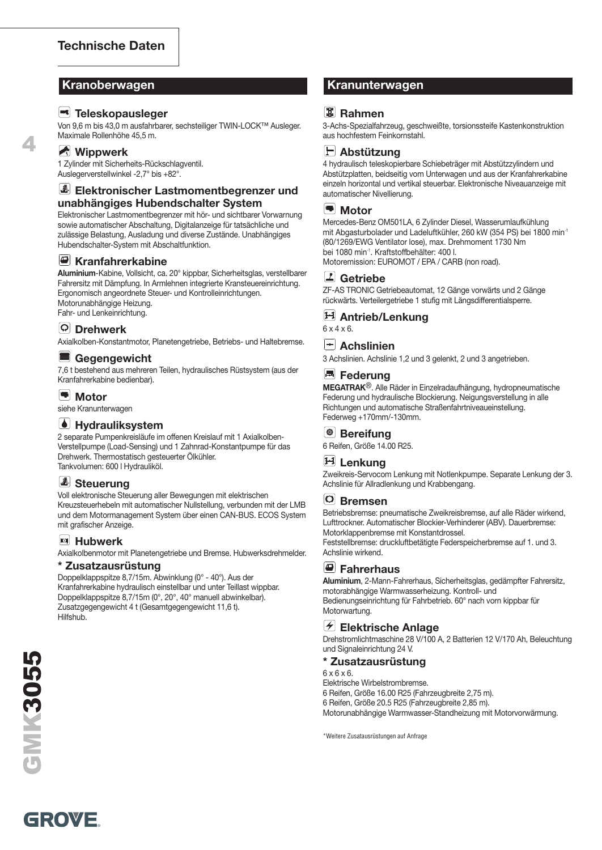#### **Teleskopausleger**

Von 9,6 m bis 43,0 m ausfahrbarer, sechsteiliger TWIN-LOCK™ Ausleger. Maximale Rollenhöhe 45,5 m.

#### **Wippwerk**

**4**

1 Zylinder mit Sicherheits-Rückschlagventil. Auslegerverstellwinkel -2,7° bis +82°.

#### **Elektronischer Lastmomentbegrenzer und unabhängiges Hubendschalter System**

Elektronischer Lastmomentbegrenzer mit hör- und sichtbarer Vorwarnung sowie automatischer Abschaltung, Digitalanzeige für tatsächliche und zulässige Belastung, Ausladung und diverse Zustände. Unabhängiges Hubendschalter-System mit Abschaltfunktion.

#### **E** Kranfahrerkabine

**Aluminium**-Kabine, Vollsicht, ca. 20° kippbar, Sicherheitsglas, verstellbarer Fahrersitz mit Dämpfung. In Armlehnen integrierte Kransteuereinrichtung. Ergonomisch angeordnete Steuer- und Kontrolleinrichtungen. Motorunabhängige Heizung. Fahr- und Lenkeinrichtung.

#### **Drehwerk**

Axialkolben-Konstantmotor, Planetengetriebe, Betriebs- und Haltebremse.

#### **Gegengewicht**

7,6 t bestehend aus mehreren Teilen, hydraulisches Rüstsystem (aus der Kranfahrerkabine bedienbar).

#### **Motor**

siehe Kranunterwagen

#### *M* Hydrauliksystem

2 separate Pumpenkreisläufe im offenen Kreislauf mit 1 Axialkolben-Verstellpumpe (Load-Sensing) und 1 Zahnrad-Konstantpumpe für das Drehwerk. Thermostatisch gesteuerter Ölkühler. Tankvolumen: 600 l Hydrauliköl.

#### *Steuerung*

Voll elektronische Steuerung aller Bewegungen mit elektrischen Kreuzsteuerhebeln mit automatischer Nullstellung, verbunden mit der LMB und dem Motormanagement System über einen CAN-BUS. ECOS System mit grafischer Anzeige.

#### **Hubwerk**

Axialkolbenmotor mit Planetengetriebe und Bremse. Hubwerksdrehmelder.

#### **\* Zusatzausrüstung**

Doppelklappspitze 8,7/15m. Abwinklung (0° - 40°). Aus der Kranfahrerkabine hydraulisch einstellbar und unter Teillast wippbar. Doppelklappspitze 8,7/15m (0°, 20°, 40° manuell abwinkelbar). Zusatzgegengewicht 4 t (Gesamtgegengewicht 11,6 t). **Hilfshub.** 

#### **Kranoberwagen Kranunterwagen**

#### <sup>[寓]</sup> Rahmen

3-Achs-Spezialfahrzeug, geschweißte, torsionssteife Kastenkonstruktion aus hochfestem Feinkornstahl.



4 hydraulisch teleskopierbare Schiebeträger mit Abstützzylindern und Abstützplatten, beidseitig vom Unterwagen und aus der Kranfahrerkabine einzeln horizontal und vertikal steuerbar. Elektronische Niveauanzeige mit automatischer Nivellierung.

#### **Motor**

Mercedes-Benz OM501LA, 6 Zylinder Diesel, Wasserumlaufkühlung mit Abgasturbolader und Ladeluftkühler, 260 kW (354 PS) bei 1800 min-1 (80/1269/EWG Ventilator lose), max. Drehmoment 1730 Nm bei 1080 min-1. Kraftstoffbehälter: 400 l. Motoremission: EUROMOT / EPA / CARB (non road).

#### **Getriebe**

ZF-AS TRONIC Getriebeautomat, 12 Gänge vorwärts und 2 Gänge rückwärts. Verteilergetriebe 1 stufig mit Längsdifferentialsperre.

#### **Antrieb/Lenkung**

6 x 4 x 6.

#### **Achslinien**

3 Achslinien. Achslinie 1,2 und 3 gelenkt, 2 und 3 angetrieben.

#### **E** Federung

**MEGATRAK**®. Alle Räder in Einzelradaufhängung, hydropneumatische Federung und hydraulische Blockierung. Neigungsverstellung in alle Richtungen und automatische Straßenfahrtniveaueinstellung. Federweg +170mm/-130mm.

#### **Bereifung**

6 Reifen, Größe 14.00 R25.

#### **H** Lenkung

Zweikreis-Servocom Lenkung mit Notlenkpumpe. Separate Lenkung der 3. Achslinie für Allradlenkung und Krabbengang.

#### **Bremsen**

Betriebsbremse: pneumatische Zweikreisbremse, auf alle Räder wirkend, Lufttrockner. Automatischer Blockier-Verhinderer (ABV). Dauerbremse: Motorklappenbremse mit Konstantdrossel. Feststellbremse: druckluftbetätigte Federspeicherbremse auf 1. und 3. Achslinie wirkend.

#### **Fahrerhaus**

**Aluminium**, 2-Mann-Fahrerhaus, Sicherheitsglas, gedämpfter Fahrersitz, motorabhängige Warmwasserheizung. Kontroll- und Bedienungseinrichtung für Fahrbetrieb. 60° nach vorn kippbar für Motorwartung.

#### **Elektrische Anlage**

Drehstromlichtmaschine 28 V/100 A, 2 Batterien 12 V/170 Ah, Beleuchtung und Signaleinrichtung 24 V.

#### **\* Zusatzausrüstung**

 $6 \times 6 \times 6$ 

Elektrische Wirbelstrombremse.

6 Reifen, Größe 16.00 R25 (Fahrzeugbreite 2,75 m).

6 Reifen, Größe 20.5 R25 (Fahrzeugbreite 2,85 m).

Motorunabhängige Warmwasser-Standheizung mit Motorvorwärmung.

\*Weitere Zusatausrüstungen auf Anfrage

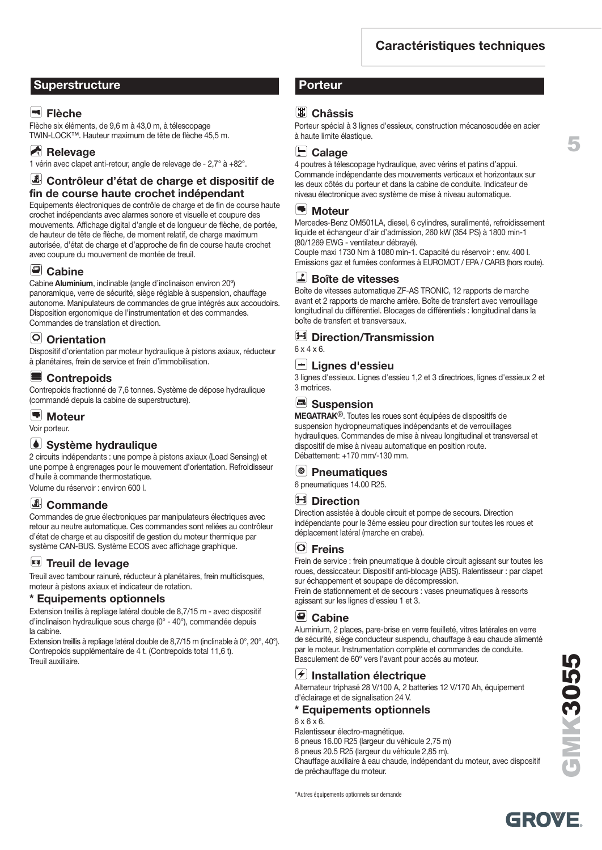#### **Superstructure Porteur**

#### **Flèche**

Flèche six éléments, de 9,6 m à 43,0 m, à télescopage TWIN-LOCK™. Hauteur maximum de tête de flèche 45,5 m.

#### **Relevage**

1 vérin avec clapet anti-retour, angle de relevage de - 2,7° à +82°.

#### **Contrôleur d'état de charge et dispositif de fin de course haute crochet indépendant**

Equipements électroniques de contrôle de charge et de fin de course haute crochet indépendants avec alarmes sonore et visuelle et coupure des mouvements. Affichage digital d'angle et de longueur de flèche, de portée, de hauteur de tête de flèche, de moment relatif, de charge maximum autorisée, d'état de charge et d'approche de fin de course haute crochet avec coupure du mouvement de montée de treuil.

#### *Cabine*

Cabine **Aluminium**, inclinable (angle d'inclinaison environ 20º) panoramique, verre de sécurité, siège réglable à suspension, chauffage autonome. Manipulateurs de commandes de grue intégrés aux accoudoirs. Disposition ergonomique de l'instrumentation et des commandes. Commandes de translation et direction.

#### **Orientation**

Dispositif d'orientation par moteur hydraulique à pistons axiaux, réducteur à planétaires, frein de service et frein d'immobilisation.

#### **Contrepoids**

Contrepoids fractionné de 7,6 tonnes. Système de dépose hydraulique (commandé depuis la cabine de superstructure).

#### **Moteur**

Voir porteur.

#### **Système hydraulique**

2 circuits indépendants : une pompe à pistons axiaux (Load Sensing) et une pompe à engrenages pour le mouvement d'orientation. Refroidisseur d'huile à commande thermostatique. Volume du réservoir : environ 600 l.

**Commande**

#### Commandes de grue électroniques par manipulateurs électriques avec retour au neutre automatique. Ces commandes sont reliées au contrôleur d'état de charge et au dispositif de gestion du moteur thermique par système CAN-BUS. Système ECOS avec affichage graphique.

#### **E** Treuil de levage

Treuil avec tambour rainuré, réducteur à planétaires, frein multidisques, moteur à pistons axiaux et indicateur de rotation.

#### **\* Equipements optionnels**

Extension treillis à repliage latéral double de 8,7/15 m - avec dispositif d'inclinaison hydraulique sous charge (0° - 40°), commandée depuis la cabine.

Extension treillis à repliage latéral double de 8,7/15 m (inclinable à 0°, 20°, 40°). Contrepoids supplémentaire de 4 t. (Contrepoids total 11,6 t). Treuil auxiliaire.

#### **Châssis**

Porteur spécial à 3 lignes d'essieux, construction mécanosoudée en acier à haute limite élastique.

**Calage**

4 poutres à télescopage hydraulique, avec vérins et patins d'appui. Commande indépendante des mouvements verticaux et horizontaux sur les deux côtés du porteur et dans la cabine de conduite. Indicateur de niveau électronique avec système de mise à niveau automatique.

#### $\left| \rule{0pt}{10pt} \right.$ **Moteur**

Mercedes-Benz OM501LA, diesel, 6 cylindres, suralimenté, refroidissement liquide et échangeur d'air d'admission, 260 kW (354 PS) à 1800 min-1 (80/1269 EWG - ventilateur débrayé).

Couple maxi 1730 Nm à 1080 min-1. Capacité du réservoir : env. 400 l. Emissions gaz et fumées conformes à EUROMOT / EPA / CARB (hors route).

#### $\boxed{\mathbf{Z}}$ **Boîte de vitesses**

Boîte de vitesses automatique ZF-AS TRONIC, 12 rapports de marche avant et 2 rapports de marche arrière. Boîte de transfert avec verrouillage longitudinal du différentiel. Blocages de différentiels : longitudinal dans la boîte de transfert et transversaux.

#### **Direction/Transmission**

6 x 4 x 6.

#### **Lignes d'essieu**

3 lignes d'essieux. Lignes d'essieu 1,2 et 3 directrices, lignes d'essieux 2 et 3 motrices.

#### **Suspension**

**MEGATRAK**®. Toutes les roues sont équipées de dispositifs de suspension hydropneumatiques indépendants et de verrouillages hydrauliques. Commandes de mise à niveau longitudinal et transversal et dispositif de mise à niveau automatique en position route. Débattement: +170 mm/-130 mm.

#### **Pneumatiques**

6 pneumatiques 14.00 R25.

#### **Direction**

Direction assistée à double circuit et pompe de secours. Direction indépendante pour le 3éme essieu pour direction sur toutes les roues et déplacement latéral (marche en crabe).

#### **Freins**

Frein de service : frein pneumatique à double circuit agissant sur toutes les roues, dessiccateur. Dispositif anti-blocage (ABS). Ralentisseur : par clapet sur échappement et soupape de décompression.

Frein de stationnement et de secours : vases pneumatiques à ressorts agissant sur les lignes d'essieu 1 et 3.

#### **Cabine**

Aluminium, 2 places, pare-brise en verre feuilleté, vitres latérales en verre de sécurité, siège conducteur suspendu, chauffage à eau chaude alimenté par le moteur. Instrumentation complète et commandes de conduite. Basculement de 60° vers l'avant pour accés au moteur.

#### **Installation électrique**

Alternateur triphasé 28 V/100 A, 2 batteries 12 V/170 Ah, équipement d'éclairage et de signalisation 24 V.

#### **\* Equipements optionnels**

6 x 6 x 6.

Ralentisseur électro-magnétique. 6 pneus 16.00 R25 (largeur du véhicule 2,75 m)

6 pneus 20.5 R25 (largeur du véhicule 2,85 m).

Chauffage auxiliaire à eau chaude, indépendant du moteur, avec dispositif de préchauffage du moteur.

\*Autres équipements optionnels sur demande

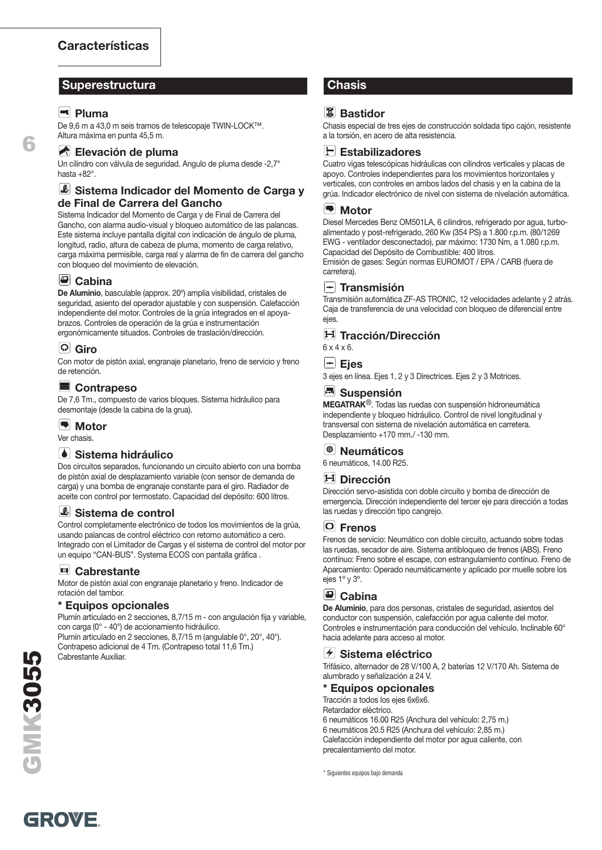#### **Superestructura Chasis**

#### **Pluma**

**6**

De 9,6 m a 43,0 m seis tramos de telescopaje TWIN-LOCK™. Altura máxima en punta 45,5 m.

#### **Elevación de pluma**

Un cilindro con válvula de seguridad. Angulo de pluma desde -2,7° hasta  $+82^\circ$ 

#### **Sistema Indicador del Momento de Carga y de Final de Carrera del Gancho**

Sistema Indicador del Momento de Carga y de Final de Carrera del Gancho, con alarma audio-visual y bloqueo automático de las palancas. Este sistema incluye pantalla digital con indicación de ángulo de pluma, longitud, radio, altura de cabeza de pluma, momento de carga relativo, carga máxima permisible, carga real y alarma de fin de carrera del gancho con bloqueo del movimiento de elevación.

#### **Cabina**

**De Aluminio**, basculable (approx. 20º) amplia visibilidad, cristales de seguridad, asiento del operador ajustable y con suspensión. Calefacción independiente del motor. Controles de la grúa integrados en el apoyabrazos. Controles de operación de la grúa e instrumentación ergonómicamente situados. Controles de traslación/dirección.

### **Giro**

Con motor de pistón axial, engranaje planetario, freno de servicio y freno de retención.

#### **Contrapeso**

De 7,6 Tm., compuesto de varios bloques. Sistema hidráulico para desmontaje (desde la cabina de la grua).

 $\left| \rule{0pt}{10pt}\right.$ **Motor** Ver chasis.

#### **Sistema hidráulico**

Dos circuitos separados, funcionando un circuito abierto con una bomba de pistón axial de desplazamiento variable (con sensor de demanda de carga) y una bomba de engranaje constante para el giro. Radiador de aceite con control por termostato. Capacidad del depósito: 600 litros.

#### **Sistema de control**

Control completamente electrónico de todos los movimientos de la grúa, usando palancas de control eléctrico con retorno automático a cero. Integrado con el Limitador de Cargas y el sistema de control del motor por un equipo "CAN-BUS". Systema ECOS con pantalla gráfica .

#### **Cabrestante**

Motor de pistón axial con engranaje planetario y freno. Indicador de rotación del tambor.

#### **\* Equipos opcionales**

Plumín articulado en 2 secciones, 8,7/15 m - con angulación fija y variable, con carga (0° - 40°) de accionamiento hidráulico. Plumín articulado en 2 secciones, 8,7/15 m (angulable 0°, 20°, 40°).

Contrapeso adicional de 4 Tm. (Contrapeso total 11,6 Tm.) Cabrestante Auxiliar.

#### <sup>[<sub>點</sub>]</sup> Bastidor

Chasis especial de tres ejes de construcción soldada tipo cajón, resistente a la torsión, en acero de alta resistencia.



Cuatro vigas telescópicas hidráulicas con cilindros verticales y placas de apoyo. Controles independientes para los movimientos horizontales y verticales, con controles en ambos lados del chasis y en la cabina de la grúa. Indicador electrónico de nivel con sistema de nivelación automática.

#### $\left| \blacksquare \right|$ **Motor**

Diesel Mercedes Benz OM501LA, 6 cilindros, refrigerado por agua, turboalimentado y post-refrigerado, 260 Kw (354 PS) a 1.800 r.p.m. (80/1269 EWG - ventilador desconectado), par máximo: 1730 Nm, a 1.080 r.p.m. Capacidad del Depósito de Combustible: 400 litros.

Emisión de gases: Según normas EUROMOT / EPA / CARB (fuera de carretera).

#### **Transmisión**

Transmisión automática ZF-AS TRONIC, 12 velocidades adelante y 2 atrás. Caja de transferencia de una velocidad con bloqueo de diferencial entre ejes.

#### **Tracción/Dirección**

6 x 4 x 6.

#### **Ejes**

3 ejes en línea. Ejes 1, 2 y 3 Directrices. Ejes 2 y 3 Motrices.

#### **Suspensión**

**MEGATRAK**®. Todas las ruedas con suspensión hidroneumática independiente y bloqueo hidráulico. Control de nivel longitudinal y transversal con sistema de nivelación automática en carretera. Desplazamiento +170 mm./ -130 mm.



6 neumáticos, 14.00 R25.

#### **Dirección**

Dirección servo-asistida con doble circuito y bomba de dirección de emergencia. Dirección independiente del tercer eje para dirección a todas las ruedas y dirección tipo cangrejo.

#### **Frenos**

Frenos de servicio: Neumático con doble circuito, actuando sobre todas las ruedas, secador de aire. Sistema antibloqueo de frenos (ABS). Freno contínuo: Freno sobre el escape, con estrangulamiento contínuo. Freno de Aparcamiento: Operado neumáticamente y aplicado por muelle sobre los ejes 1º y 3º.

#### **Cabina**

**De Aluminio**, para dos personas, cristales de seguridad, asientos del conductor con suspensión, calefacción por agua caliente del motor. Controles e instrumentación para conducción del vehículo. Inclinable 60° hacia adelante para acceso al motor.

#### **Sistema eléctrico**

Trifásico, alternador de 28 V/100 A, 2 baterías 12 V/170 Ah. Sistema de alumbrado y señalización a 24 V.

#### **\* Equipos opcionales**

Tracción a todos los ejes 6x6x6.

Retardador eléctrico. 6 neumáticos 16.00 R25 (Anchura del vehículo: 2,75 m.) 6 neumáticos 20.5 R25 (Anchura del vehículo: 2,85 m.) Calefacción independiente del motor por agua caliente, con precalentamiento del motor.

\* Siguientes equipos bajo demanda

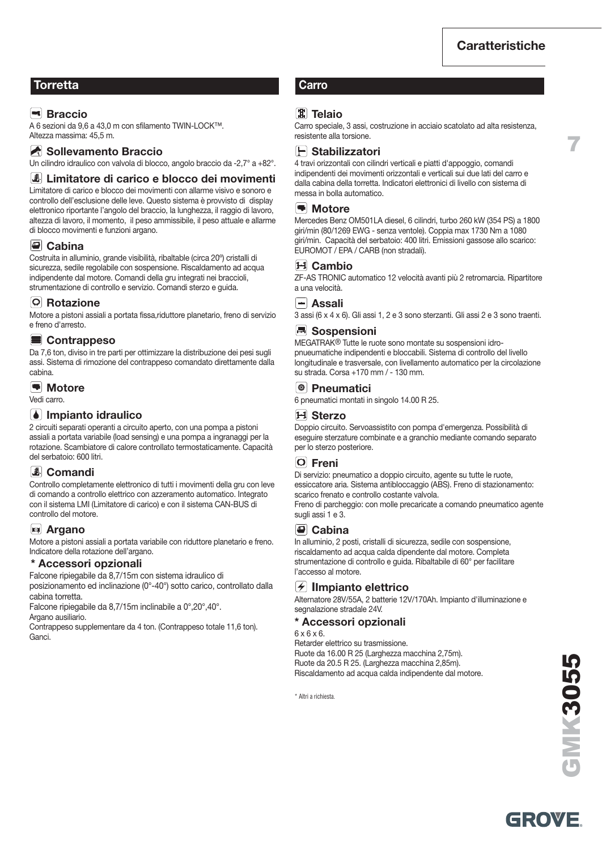**7**

#### **Torretta Carro**

#### **Braccio**

A 6 sezioni da 9,6 a 43,0 m con sfilamento TWIN-LOCK™. Altezza massima: 45,5 m.

#### Sollevamento Braccio

Un cilindro idraulico con valvola di blocco, angolo braccio da -2,7° a +82°.

#### **Limitatore di carico e blocco dei movimenti**

Limitatore di carico e blocco dei movimenti con allarme visivo e sonoro e controllo dell'esclusione delle leve. Questo sistema è provvisto di display elettronico riportante l'angolo del braccio, la lunghezza, il raggio di lavoro, altezza di lavoro, il momento, il peso ammissibile, il peso attuale e allarme di blocco movimenti e funzioni argano.

#### **Cabina**

Costruita in alluminio, grande visibilità, ribaltable (circa 20º) cristalli di sicurezza, sedile regolabile con sospensione. Riscaldamento ad acqua indipendente dal motore. Comandi della gru integrati nei braccioli, strumentazione di controllo e servizio. Comandi sterzo e guida.

#### **Rotazione**

Motore a pistoni assiali a portata fissa,riduttore planetario, freno di servizio e freno d'arresto.

#### **Contrappeso**

Da 7,6 ton, diviso in tre parti per ottimizzare la distribuzione dei pesi sugli assi. Sistema di rimozione del contrappeso comandato direttamente dalla cabina.

#### **Motore**

Vedi carro.

#### **Impianto idraulico**

2 circuiti separati operanti a circuito aperto, con una pompa a pistoni assiali a portata variabile (load sensing) e una pompa a ingranaggi per la rotazione. Scambiatore di calore controllato termostaticamente. Capacità del serbatoio: 600 litri.

#### **Comandi**

Controllo completamente elettronico di tutti i movimenti della gru con leve di comando a controllo elettrico con azzeramento automatico. Integrato con il sistema LMI (Limitatore di carico) e con il sistema CAN-BUS di controllo del motore.

#### **Argano**

Motore a pistoni assiali a portata variabile con riduttore planetario e freno. Indicatore della rotazione dell'argano.

#### **\* Accessori opzionali**

Falcone ripiegabile da 8,7/15m con sistema idraulico di posizionamento ed inclinazione (0°-40°) sotto carico, controllato dalla cabina torretta.

Falcone ripiegabile da 8,7/15m inclinabile a 0°,20°,40°. Argano ausiliario.

Contrappeso supplementare da 4 ton. (Contrappeso totale 11,6 ton). Ganci.

#### **Telaio**

Carro speciale, 3 assi, costruzione in acciaio scatolato ad alta resistenza, resistente alla torsione.

#### **Stabilizzatori**

4 travi orizzontali con cilindri verticali e piatti d'appoggio, comandi indipendenti dei movimenti orizzontali e verticali sui due lati del carro e dalla cabina della torretta. Indicatori elettronici di livello con sistema di messa in bolla automatico.

#### **Motore**

Mercedes Benz OM501LA diesel, 6 cilindri, turbo 260 kW (354 PS) a 1800 giri/min (80/1269 EWG - senza ventole). Coppia max 1730 Nm a 1080 giri/min. Capacità del serbatoio: 400 litri. Emissioni gassose allo scarico: EUROMOT / EPA / CARB (non stradali).

#### **Cambio**

ZF-AS TRONIC automatico 12 velocità avanti più 2 retromarcia. Ripartitore a una velocità.

#### **Assali**

3 assi (6 x 4 x 6). Gli assi 1, 2 e 3 sono sterzanti. Gli assi 2 e 3 sono traenti.

#### **Sospensioni**

MEGATRAK® Tutte le ruote sono montate su sospensioni idropnueumatiche indipendenti e bloccabili. Sistema di controllo del livello longitudinale e trasversale, con livellamento automatico per la circolazione su strada. Corsa +170 mm / - 130 mm.

#### **Pneumatici**

6 pneumatici montati in singolo 14.00 R 25.

#### **Sterzo**

Doppio circuito. Servoassistito con pompa d'emergenza. Possibilità di eseguire sterzature combinate e a granchio mediante comando separato per lo sterzo posteriore.

#### **Freni**

Di servizio: pneumatico a doppio circuito, agente su tutte le ruote, essiccatore aria. Sistema antibloccaggio (ABS). Freno di stazionamento: scarico frenato e controllo costante valvola.

Freno di parcheggio: con molle precaricate a comando pneumatico agente sugli assi 1 e 3.

#### **Cabina**

In alluminio, 2 posti, cristalli di sicurezza, sedile con sospensione, riscaldamento ad acqua calda dipendente dal motore. Completa strumentazione di controllo e guida. Ribaltabile di 60° per facilitare l'accesso al motore.

#### **IImpianto elettrico**

Alternatore 28V/55A, 2 batterie 12V/170Ah. Impianto d'illuminazione e segnalazione stradale 24V.

#### **\* Accessori opzionali**

6 x 6 x 6. Retarder elettrico su trasmissione. Ruote da 16.00 R 25 (Larghezza macchina 2,75m). Ruote da 20.5 R 25. (Larghezza macchina 2,85m). Riscaldamento ad acqua calda indipendente dal motore.

\* Altri a richiesta.

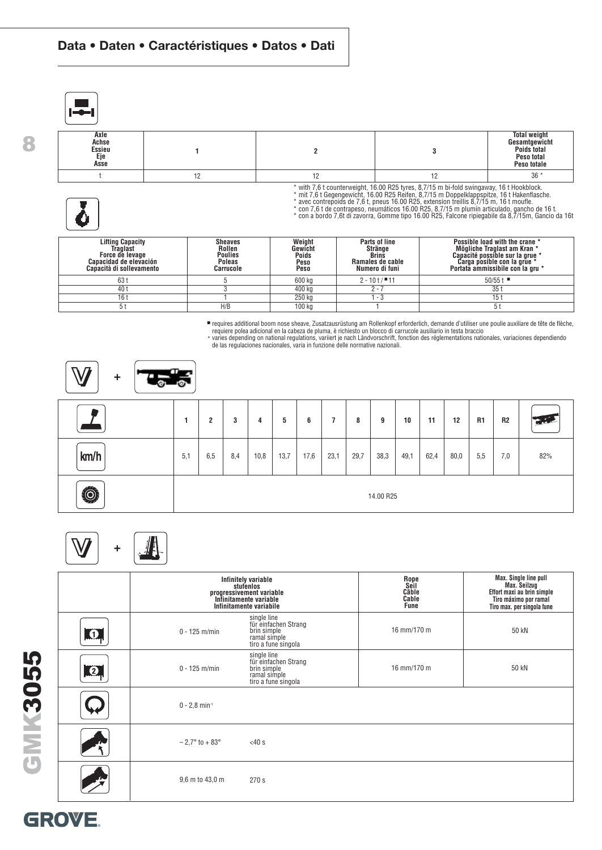#### **Data • Daten • Caractéristiques • Datos • Dati**



**8**

| Axle<br>Achse<br>Essieu<br>Eje<br>Asse |  | <b>Total weight</b><br>Gesamtgewicht<br>Poids total<br>Peso total<br>Peso totale |
|----------------------------------------|--|----------------------------------------------------------------------------------|
|                                        |  | $36*$                                                                            |

\* with 7,6 t counterweight, 16.00 R25 tyres, 8,7/15 m bi-fold swingaway, 16 t Hookblock.<br>\* mit 7,6 t Gegengewicht, 16.00 R25 Reifen, 8,7/15 m Doppelklappspitze, 16 t Hakenflasche.<br>\* avec contrepoids de 7,6 t, pneus 16.00 R

| <b>Lifting Capacity</b><br><b>Traglast</b><br>Force de levage<br>Capacidad de elevación<br>Canacità di sollevamento | <b>Sheaves</b><br>Rollen<br><b>Poulies</b><br><b>Poleas</b><br>Carrucole | Weight<br>Gewicht<br><b>Poids</b><br>Peso<br>Peso | Parts of line<br>Stränge<br><b>Brins</b><br>Ramales de cable<br>Numero di funi | Possible load with the crane *<br>Mögliche Traglast am Kran *<br>Capacité possible sur la grue *<br>Carga posible con la grue<br>Portata ammissibile con la gru * |
|---------------------------------------------------------------------------------------------------------------------|--------------------------------------------------------------------------|---------------------------------------------------|--------------------------------------------------------------------------------|-------------------------------------------------------------------------------------------------------------------------------------------------------------------|
| 63 t                                                                                                                |                                                                          | 600 kg                                            | $2 - 10t / 11$                                                                 | $50/55$ t                                                                                                                                                         |
| 40 t                                                                                                                |                                                                          | 400 kg                                            | $2 - 1$                                                                        | 35 <sub>1</sub>                                                                                                                                                   |
| 16 t                                                                                                                |                                                                          | 250 kg                                            | - 3                                                                            | 15 t                                                                                                                                                              |
|                                                                                                                     | H/B                                                                      | 100 kg                                            |                                                                                |                                                                                                                                                                   |

■ requires additional boom nose sheave, Zusatzausrüstung am Rollenkopf erforderlich, demande d'utiliser une poulie auxiliare de tête de flèche,<br>→ requiere polea adicional en la cabeza de pluma, è richiesto un blocco di ca

| $\sqrt{ }$<br>$\ddot{}$ | œ<br>гØЧ |                |     |      |      |      |                |      |           |      |      |      |                |     |             |
|-------------------------|----------|----------------|-----|------|------|------|----------------|------|-----------|------|------|------|----------------|-----|-------------|
|                         | 1        | $\overline{2}$ | 3   | 4    | 5    | 6    | $\overline{7}$ | 8    | 9         | 10   | 11   | 12   | R <sub>1</sub> | R2  | <b>TALE</b> |
| km/h                    | 5,1      | 6,5            | 8,4 | 10,8 | 13,7 | 17,6 | 23,1           | 29,7 | 38,3      | 49,1 | 62,4 | 80,0 | 5,5            | 7,0 | 82%         |
| $\ddot{\odot}$          |          |                |     |      |      |      |                |      | 14.00 R25 |      |      |      |                |     |             |

# **+**

|           |                                 | Infinitely variable<br>stufenlos<br>progressivement variable<br>Infinitamente variable<br>Infinitamente variabile | Rope<br>Seil<br>Câble<br>Cable<br><b>Fune</b> | Max. Single line pull<br>Max. Seilzug<br>Effort maxi au brin simple<br>Tiro máximo por ramal<br>Tiro max. per singola fune |
|-----------|---------------------------------|-------------------------------------------------------------------------------------------------------------------|-----------------------------------------------|----------------------------------------------------------------------------------------------------------------------------|
| $\bullet$ | $0 - 125$ m/min                 | single line<br>für einfachen Strang<br>brin simple<br>ramal simple<br>tiro a fune singola                         | 16 mm/170 m                                   | 50 kN                                                                                                                      |
| $\bullet$ | $0 - 125$ m/min                 | single line<br>für einfachen Strang<br>brin simple<br>ramal simple<br>tiro a fune singola                         | 16 mm/170 m                                   | 50 kN                                                                                                                      |
|           | $0 - 2.8$ min <sup>-1</sup>     |                                                                                                                   |                                               |                                                                                                                            |
|           | $-2.7^{\circ}$ to $+83^{\circ}$ | $<$ 40 $s$                                                                                                        |                                               |                                                                                                                            |
|           | 9,6 m to 43,0 m                 | 270 s                                                                                                             |                                               |                                                                                                                            |

GMK3055 **GMK3055**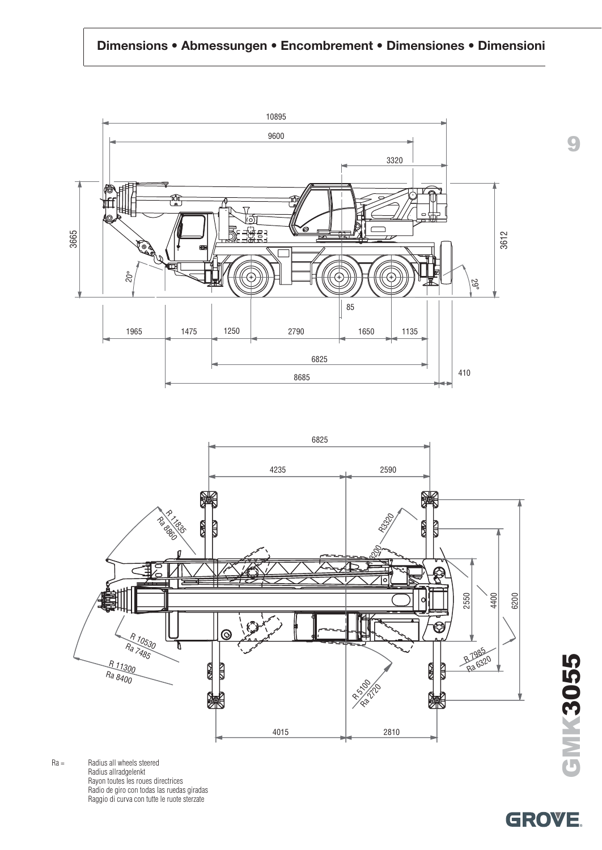#### **Dimensions • Abmessungen • Encombrement • Dimensiones • Dimensioni**





Ra = Radius all wheels steered Radius allradgelenkt Rayon toutes les roues directrices Radio de giro con todas las ruedas giradas Raggio di curva con tutte le ruote sterzate

GMK3055 **GMK3055**

**9**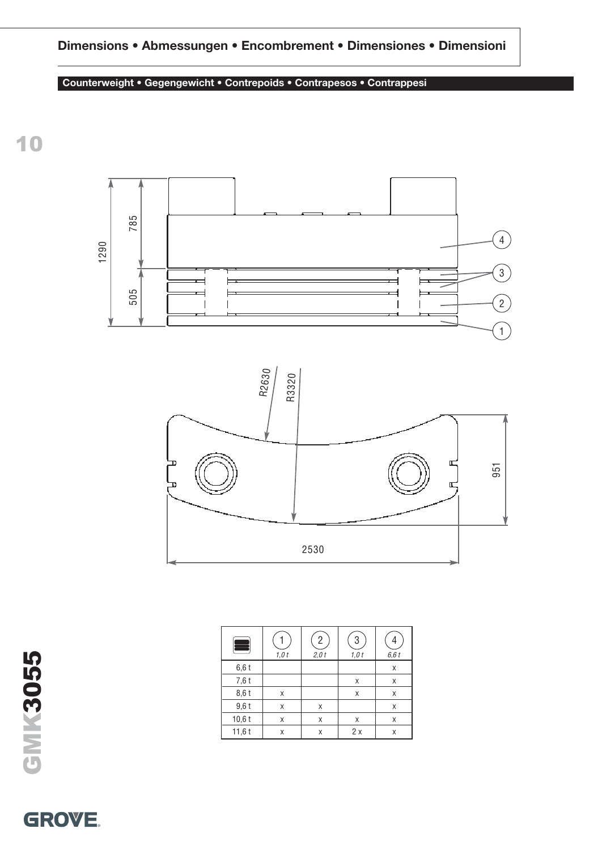### **Dimensions • Abmessungen • Encombrement • Dimensiones • Dimensioni**

#### **Counterweight • Gegengewicht • Contrepoids • Contrapesos • Contrappesi**

**10**





| ÷        | 1,0t | $\overline{c}$<br>$2,0$ t | 3<br>1,0t | 6,6t |
|----------|------|---------------------------|-----------|------|
| 6,6t     |      |                           |           | X    |
| 7,6 t    |      |                           | X         | Χ    |
| 8,6 t    | Χ    |                           | X         | X    |
| $9,6$ t  | X    | X                         |           | X    |
| $10,6$ t | X    | X                         | X         | Χ    |
| 11,6t    | X    | Χ                         | 2x        | Χ    |

GMK3055 **GMK3055**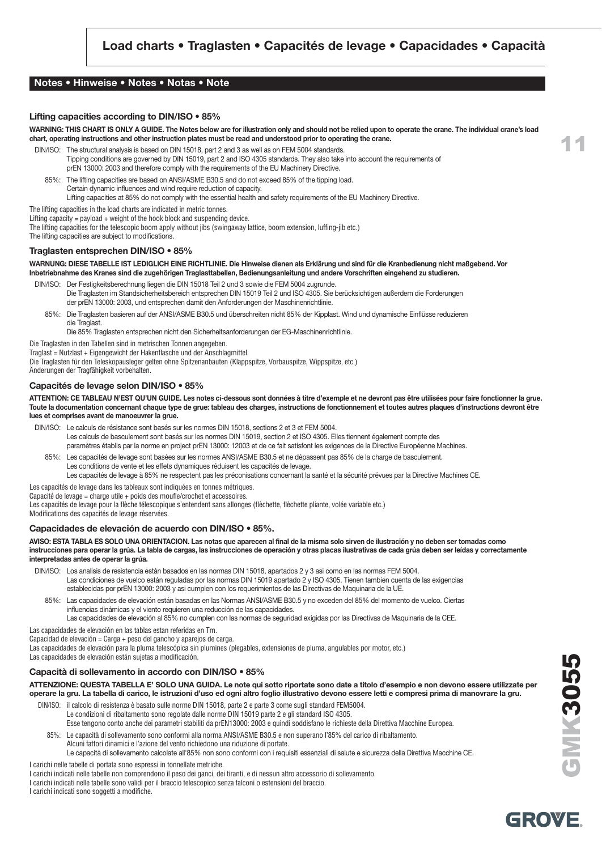#### **Notes • Hinweise • Notes • Notas • Note**

#### **Lifting capacities according to DIN/ISO • 85%**

**WARNING: THIS CHART IS ONLY A GUIDE. The Notes below are for illustration only and should not be relied upon to operate the crane. The individual crane's load chart, operating instructions and other instruction plates must be read and understood prior to operating the crane.**

- DIN/ISO: The structural analysis is based on DIN 15018, part 2 and 3 as well as on FEM 5004 standards. Tipping conditions are governed by DIN 15019, part 2 and ISO 4305 standards. They also take into account the requirements of prEN 13000: 2003 and therefore comply with the requirements of the EU Machinery Directive.
	- 85%: The lifting capacities are based on ANSI/ASME B30.5 and do not exceed 85% of the tipping load. Certain dynamic influences and wind require reduction of capacity. Lifting capacities at 85% do not comply with the essential health and safety requirements of the EU Machinery Directive.

The lifting capacities in the load charts are indicated in metric tonnes.

Lifting capacity = payload + weight of the hook block and suspending device.

The lifting capacities for the telescopic boom apply without jibs (swingaway lattice, boom extension, luffing-jib etc.)

The lifting capacities are subject to modifications.

#### **Traglasten entsprechen DIN/ISO • 85%**

**WARNUNG: DIESE TABELLE IST LEDIGLICH EINE RICHTLINIE. Die Hinweise dienen als Erklärung und sind für die Kranbedienung nicht maßgebend. Vor Inbetriebnahme des Kranes sind die zugehörigen Traglasttabellen, Bedienungsanleitung und andere Vorschriften eingehend zu studieren.**

- DIN/ISO: Der Festigkeitsberechnung liegen die DIN 15018 Teil 2 und 3 sowie die FEM 5004 zugrunde. Die Traglasten im Standsicherheitsbereich entsprechen DIN 15019 Teil 2 und ISO 4305. Sie berücksichtigen außerdem die Forderungen der prEN 13000: 2003, und entsprechen damit den Anforderungen der Maschinenrichtlinie.
	- 85%: Die Traglasten basieren auf der ANSI/ASME B30.5 und überschreiten nicht 85% der Kipplast. Wind und dynamische Einflüsse reduzieren die Traglast.

Die 85% Traglasten entsprechen nicht den Sicherheitsanforderungen der EG-Maschinenrichtlinie.

Die Traglasten in den Tabellen sind in metrischen Tonnen angegeben.

Traglast = Nutzlast + Eigengewicht der Hakenflasche und der Anschlagmittel.

Die Traglasten für den Teleskopausleger gelten ohne Spitzenanbauten (Klappspitze, Vorbauspitze, Wippspitze, etc.)

## Änderungen der Tragfähigkeit vorbehalten.

#### **Capacités de levage selon DIN/ISO • 85%**

**ATTENTION: CE TABLEAU N'EST QU'UN GUIDE. Les notes ci-dessous sont données à titre d'exemple et ne devront pas être utilisées pour faire fonctionner la grue. Toute la documentation concernant chaque type de grue: tableau des charges, instructions de fonctionnement et toutes autres plaques d'instructions devront être lues et comprises avant de manoeuvrer la grue.**

- DIN/ISO: Le calculs de résistance sont basés sur les normes DIN 15018, sections 2 et 3 et FEM 5004. Les calculs de basculement sont basés sur les normes DIN 15019, section 2 et ISO 4305. Elles tiennent également compte des
	- paramètres établis par la norme en project prEN 13000: 12003 et de ce fait satisfont les exigences de la Directive Européenne Machines.
- 85%: Les capacités de levage sont basées sur les normes ANSI/ASME B30.5 et ne dépassent pas 85% de la charge de basculement. Les conditions de vente et les effets dynamiques réduisent les capacités de levage. Les capacités de levage à 85% ne respectent pas les préconisations concernant la santé et la sécurité prévues par la Directive Machines CE.
- Les capacités de levage dans les tableaux sont indiquées en tonnes métriques.

Capacité de levage = charge utile + poids des moufle/crochet et accessoires.

Les capacités de levage pour la flèche télescopique s'entendent sans allonges (flèchette, flèchette pliante, volée variable etc.)

Modifications des capacités de levage réservées.

#### **Capacidades de elevación de acuerdo con DIN/ISO • 85%.**

**AVISO: ESTA TABLA ES SOLO UNA ORIENTACION. Las notas que aparecen al final de la misma solo sirven de ilustración y no deben ser tomadas como instrucciones para operar la grúa. La tabla de cargas, las instrucciones de operación y otras placas ilustrativas de cada grúa deben ser leídas y correctamente interpretadas antes de operar la grúa.**

DIN/ISO: Los analisis de resistencia están basados en las normas DIN 15018, apartados 2 y 3 asi como en las normas FEM 5004. Las condiciones de vuelco están reguladas por las normas DIN 15019 apartado 2 y ISO 4305. Tienen tambien cuenta de las exigencias establecidas por prEN 13000: 2003 y asi cumplen con los requerimientos de las Directivas de Maquinaria de la UE.

85%: Las capacidades de elevación están basadas en las Normas ANSI/ASME B30.5 y no exceden del 85% del momento de vuelco. Ciertas influencias dinámicas y el viento requieren una reducción de las capacidades.

Las capacidades de elevación al 85% no cumplen con las normas de seguridad exigidas por las Directivas de Maquinaria de la CEE. Las capacidades de elevación en las tablas estan referidas en Tm.

Capacidad de elevación = Carga + peso del gancho y aparejos de carga.

Las capacidades de elevación para la pluma telescópica sin plumines (plegables, extensiones de pluma, angulables por motor, etc.)

Las capacidades de elevación están sujetas a modificación.

#### **Capacità di sollevamento in accordo con DIN/ISO • 85%**

**ATTENZIONE: QUESTA TABELLA E' SOLO UNA GUIDA. Le note qui sotto riportate sono date a titolo d'esempio e non devono essere utilizzate per operare la gru. La tabella di carico, le istruzioni d'uso ed ogni altro foglio illustrativo devono essere letti e compresi prima di manovrare la gru.**

DIN/ISO: il calcolo di resistenza è basato sulle norme DIN 15018, parte 2 e parte 3 come sugli standard FEM5004. Le condizioni di ribaltamento sono regolate dalle norme DIN 15019 parte 2 e gli standard ISO 4305.

Esse tengono conto anche dei parametri stabiliti da prEN13000: 2003 e quindi soddisfano le richieste della Direttiva Macchine Europea.

85%: Le capacità di sollevamento sono conformi alla norma ANSI/ASME B30.5 e non superano l'85% del carico di ribaltamento.

Alcuni fattori dinamici e l'azione del vento richiedono una riduzione di portate. Le capacità di sollevamento calcolate all'85% non sono conformi con i requisiti essenziali di salute e sicurezza della Direttiva Macchine CE.

I carichi nelle tabelle di portata sono espressi in tonnellate metriche.

- I carichi indicati nelle tabelle non comprendono il peso dei ganci, dei tiranti, e di nessun altro accessorio di sollevamento.
- I carichi indicati nelle tabelle sono validi per il braccio telescopico senza falconi o estensioni del braccio.

I carichi indicati sono soggetti a modifiche.

**GMK3055**

**ENN 2055**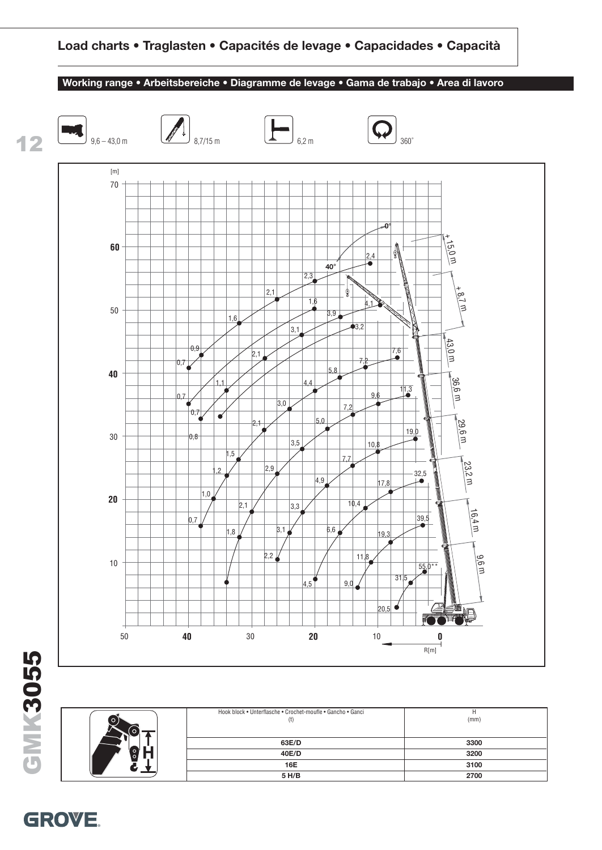

Hook block • Unterflasche • Crochet-moufle • Gancho • Ganci H  $(1)$  (mm) **63E/D 3300 40E/D 3200 16E 3100 5 H/B 2700**

# GMK3055 **GMK3055**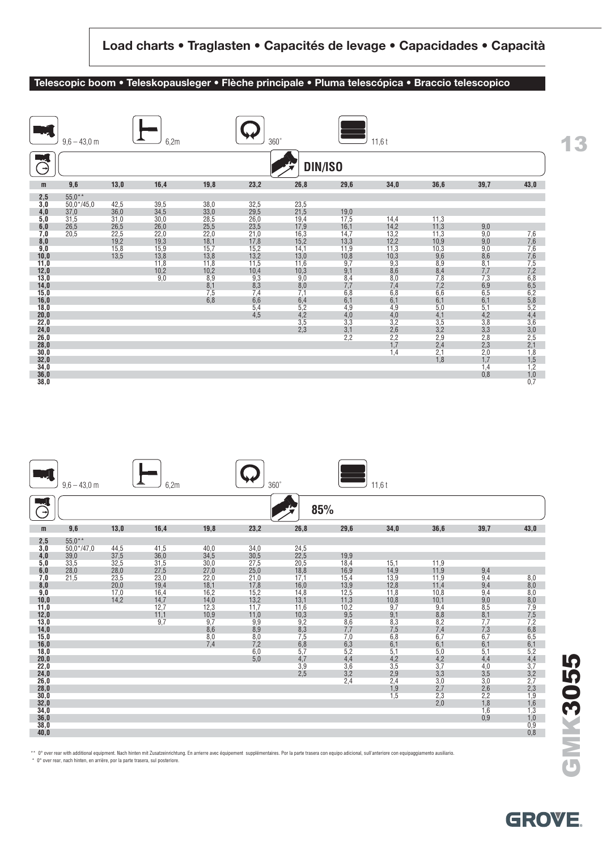#### **Telescopic boom • Teleskopausleger • Flèche principale • Pluma telescópica • Braccio telescopico**

|                                            | $9,6 - 43,0$ m |      | 6,2m        |            | $360^\circ$    |            |                   | 11,6t                                              |                |                                                    |                   |
|--------------------------------------------|----------------|------|-------------|------------|----------------|------------|-------------------|----------------------------------------------------|----------------|----------------------------------------------------|-------------------|
| $\rightarrow$                              |                |      |             |            |                | DIN/ISO    |                   |                                                    |                |                                                    |                   |
| m                                          | 9,6            | 13,0 | 16,4        | 19,8       | 23,2           | 26,8       | 29,6              | 34,0                                               | 36,6           | 39,7                                               | 43,0              |
| 2,5                                        | $55,0**$       |      |             |            |                |            |                   |                                                    |                |                                                    |                   |
| 3,0                                        | $50.0* / 45.0$ | 42,5 | 39,5        | 38,0       | 32,5           | 23,5       |                   |                                                    |                |                                                    |                   |
| 4,0                                        | 37,0           | 36,0 | 34,5        | 33,0       | 29,5           | 21,5       | 19,0              |                                                    |                |                                                    |                   |
| 5,0                                        | 31,5           | 31,0 | 30,0        | 28,5       | 26,0           | 19,4       | 17,5              | 14,4                                               | 11,3           |                                                    |                   |
| 6,0                                        | 26,5           | 26,5 | 26,0        | 25,5       | 23,5           | 17,9       | 16,1              | 14,2                                               | 11,3           | 9,0                                                |                   |
| 7,0                                        | 20,5           | 22,5 | 22,0        | 22,0       | 21,0           | 16,3       | 14,7              | 13,2                                               | 11,3           | 9,0                                                | 7,66652824463,000 |
| 8,0                                        |                | 19,2 | 19,3        | 18,1       | 17,8           | 15,2       | 13,3              | 12,2                                               | 10,9           | 9,0                                                |                   |
| 9,0                                        |                | 15,8 | 15,9        | 15,7       | 15,2           | 14,1       | 11,9              | 11,3                                               | 10,3           | 9,0                                                |                   |
| 10,0                                       |                | 13,5 | 13,8        | 13,8       | 13,2           | 13,0       | 10,8              | 10,3                                               | 9,6            | $\frac{8,6}{8,1}$                                  |                   |
| 11,0                                       |                |      | 11,8        | 11,8       | 11,5           | 11,6       | 9,7               | 9,3                                                | 8,9            |                                                    |                   |
| 12,0                                       |                |      | 10,2<br>9,0 | 10,2       | 10,4           | 10,3       | 9,1               | 8,6                                                | 8,4            | 7,7                                                |                   |
| 13,0                                       |                |      |             | 8,9        | 9,3            | 9,0<br>8,0 | 8,4<br>7,7        | 8,0                                                | 7,8<br>7,2     | 7,3                                                |                   |
| 14,0<br>15,0                               |                |      |             | 8,1<br>7.5 | 8,3<br>7,4     | 7,1        | 6,8               | 7,4<br>6,8                                         | 6,6            | 6,9<br>6,5                                         |                   |
| 16,0                                       |                |      |             | 6,8        |                | 6,4        | 6,1               | 6,1                                                | 6,1            |                                                    |                   |
| 18,0                                       |                |      |             |            | $6,6$<br>$5,4$ | 5,2        | 4,9               | 4,9                                                | 5,0            | $6,1$<br>$5,1$                                     |                   |
| 20,0                                       |                |      |             |            | 4,5            | 4,2        |                   |                                                    | 4,1            |                                                    |                   |
| 22,0                                       |                |      |             |            |                | 3,5        | $\frac{4,0}{3,3}$ | $4,0$<br>$3,2$<br>$2,6$<br>$2,2$<br>$1,7$<br>$1,4$ | 3,5            | $4,2$<br>$3,8$<br>$3,3$<br>$2,8$<br>$2,3$<br>$2,0$ |                   |
| 24,0                                       |                |      |             |            |                | 2,3        | $3,1$<br>$2,2$    |                                                    | 3,2            |                                                    |                   |
| 26,0                                       |                |      |             |            |                |            |                   |                                                    | 2,9            |                                                    |                   |
| 28,0                                       |                |      |             |            |                |            |                   |                                                    | $2,4$<br>$2,1$ |                                                    |                   |
| 30,0                                       |                |      |             |            |                |            |                   |                                                    |                |                                                    |                   |
| $\frac{32,0}{34,0}$<br>$\frac{36,0}{38,0}$ |                |      |             |            |                |            |                   |                                                    | 1,8            | 1,7                                                | $1,5$<br>$1,2$    |
|                                            |                |      |             |            |                |            |                   |                                                    |                | 1,4                                                |                   |
|                                            |                |      |             |            |                |            |                   |                                                    |                | 0,8                                                | $1,0$<br>$0,7$    |
|                                            |                |      |             |            |                |            |                   |                                                    |                |                                                    |                   |

|                                                                                                                                                                                                                        | $9,6 - 43,0$ m                                           |                                                                              | 6,2m                                                                                                     |                                                                                                                     | $360^\circ$                                                                                                                           |                                                                                                                                                                  |                                                                                                                                                                     | 11,6t                                                                                                                                                              |                                                                                                                                                                              |                                                                                                                                                    |                   |
|------------------------------------------------------------------------------------------------------------------------------------------------------------------------------------------------------------------------|----------------------------------------------------------|------------------------------------------------------------------------------|----------------------------------------------------------------------------------------------------------|---------------------------------------------------------------------------------------------------------------------|---------------------------------------------------------------------------------------------------------------------------------------|------------------------------------------------------------------------------------------------------------------------------------------------------------------|---------------------------------------------------------------------------------------------------------------------------------------------------------------------|--------------------------------------------------------------------------------------------------------------------------------------------------------------------|------------------------------------------------------------------------------------------------------------------------------------------------------------------------------|----------------------------------------------------------------------------------------------------------------------------------------------------|-------------------|
| $\rightarrow$                                                                                                                                                                                                          |                                                          |                                                                              |                                                                                                          |                                                                                                                     |                                                                                                                                       | 85%                                                                                                                                                              |                                                                                                                                                                     |                                                                                                                                                                    |                                                                                                                                                                              |                                                                                                                                                    |                   |
| m                                                                                                                                                                                                                      | 9,6                                                      | 13,0                                                                         | 16,4                                                                                                     | 19,8                                                                                                                | 23,2                                                                                                                                  | 26,8                                                                                                                                                             | 29,6                                                                                                                                                                | 34,0                                                                                                                                                               | 36,6                                                                                                                                                                         | 39,7                                                                                                                                               | 43,0              |
| 2,5<br>$3,0$<br>$4,0$<br>$5,0$<br>$6,0$<br>$7,0$<br>8,0<br>9,0<br>10,0<br>11,0<br>12,0<br>13,0<br>14,0<br>15,0<br>16,0<br>18,0<br>20,0<br>22,0<br>24,0<br>26,0<br>28,0<br>30,0<br>32,0<br>34,0<br>36,0<br>38,0<br>40,0 | $55.0**$<br>$50.0*/47.0$<br>39,0<br>33,5<br>28,0<br>21,5 | $\frac{44,5}{37,5}$<br>$\frac{32,5}{28,0}$<br>$23,5$<br>20,0<br>17,0<br>14,2 | $\frac{41,5}{36,0}$<br>$\frac{31,5}{27,5}$<br>23,0<br>19,4<br>$\frac{16,4}{14,7}$<br>12,7<br>11,1<br>9,7 | 40,0<br>34,5<br>$\frac{30,0}{27,0}$<br>22,0<br>18,1<br>16,2<br>$14,0$<br>$12,3$<br>10,9<br>9,7<br>8,6<br>8,0<br>7,4 | $34,0$<br>$30,5$<br>$\frac{27,5}{25,0}$<br>21,0<br>17,8<br>15,2<br>13,2<br>11,7<br>11,0<br>9,9<br>8,9<br>8,0<br>7,2<br>$6,0$<br>$5,0$ | $\frac{24,5}{22,5}$<br>$\frac{20,5}{18,8}$<br>17,1<br>16,0<br>14,8<br>13,1<br>11,6<br>10,3<br>$\frac{9,2}{8,3}$<br>7,5<br>6,8<br>5,7<br>$\frac{4,7}{3,9}$<br>2,5 | 19,9<br>18,4<br>16,9<br>$\frac{15,4}{13,9}$<br>12,5<br>$\frac{11,3}{10,2}$<br>9,5<br>$\frac{8,6}{7,7}$<br>7,0<br>$6,3$<br>$5,2$<br>$4,4$<br>$3,6$<br>$3,2$<br>$2,4$ | 15,1<br>14,9<br>13,9<br>12,8<br>11,8<br>$\frac{10,8}{9,7}$<br>9,1<br>8,3<br>$7,5$<br>6,8<br>6,1<br>5,1<br>$\frac{4,2}{3,5}$<br>$^{2,9}_{2,4}$<br>$\frac{1,9}{1,5}$ | 11,9<br>11,9<br>11,9<br>11,4<br>10,8<br>$\frac{10,1}{9,4}$<br>8,8<br>$\frac{8,2}{7,4}$<br>6,7<br>6,1<br>$5,0$<br>$4,2$<br>$3,7$<br>$3,3$<br>$3,0$<br>$2,7$<br>$2,3$<br>$2,0$ | 9,4<br>9,4<br>9,4<br>9,4<br>9,0<br>8,5<br>8,1<br>7,7<br>7,3<br>6,7<br>6,1<br>$5,14,4$<br>$4,0$<br>$3,5$<br>$3,6$<br>$2,8$<br>$1,8$<br>$1,6$<br>0,9 | $\frac{8,0}{8,0}$ |

\*\* 0° over rear with additional equipment. Nach hinten mit Zusatzeinrichtung. En arrierre avec équipement supplémentaires. Por la parte trasera con equipo adicional, sull'anteriore con equipaggiamento ausiliario.

 $*$  0° over rear, nach hinten, en arrière, por la parte trasera, sul posteriore.

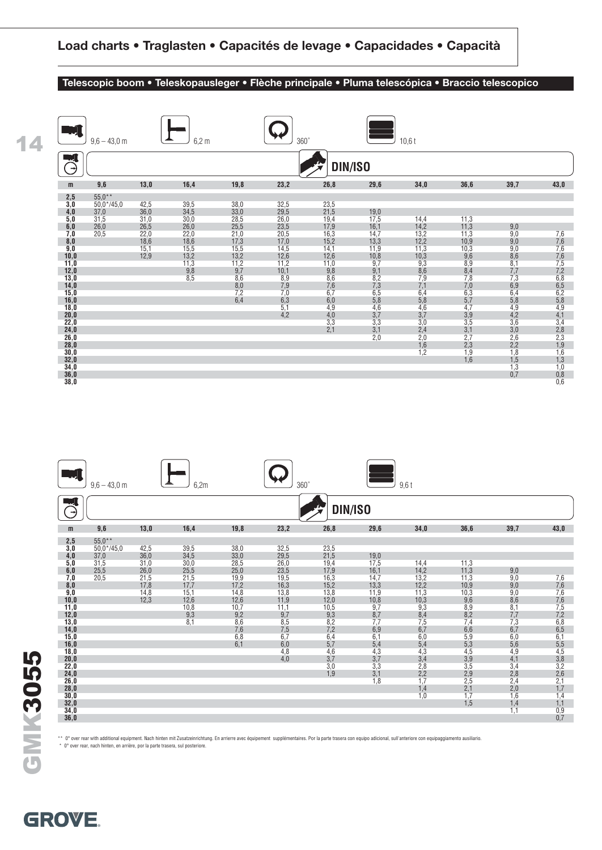#### **Telescopic boom • Teleskopausleger • Flèche principale • Pluma telescópica • Braccio telescopico**





\*\* 0° over rear with additional equipment. Nach hinten mit Zusatzeinrichtung. En arrierre avec équipement supplémentaires. Por la parte trasera con equipo adicional, sull'anteriore con equipaggiamento ausiliario.

I\* 0° over rear, nach hinten, en arrière, por la parte trasera, sul posteriore.

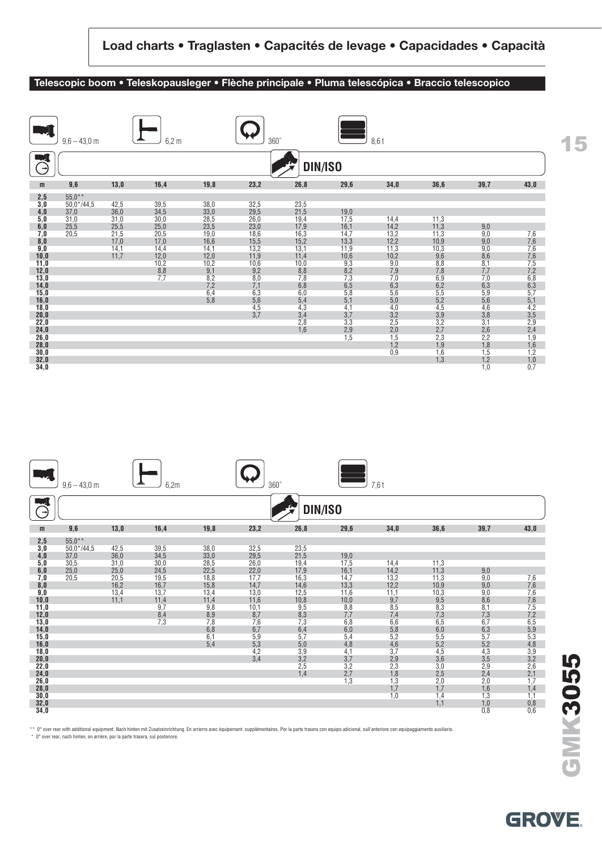#### **Telescopic boom • Teleskopausleger • Flèche principale • Pluma telescópica • Braccio telescopico**

|               | $9.6 - 43.0$ m |      | $6,2 \text{ m}$   |              | $360^\circ$ |             |                   | 8,6t              |                   |                   |                            |
|---------------|----------------|------|-------------------|--------------|-------------|-------------|-------------------|-------------------|-------------------|-------------------|----------------------------|
| $\rightarrow$ |                |      |                   |              |             | DIN/ISO     |                   |                   |                   |                   |                            |
| m             | 9,6            | 13,0 | 16,4              | 19,8         | 23,2        | 26,8        | 29,6              | 34,0              | 36,6              | 39,7              | 43,0                       |
| 2,5           | $55.0**$       |      |                   |              |             |             |                   |                   |                   |                   |                            |
| 3,0           | $50,0*/44,5$   | 42,5 | 39,5              | 38,0         | 32,5        | 23,5        |                   |                   |                   |                   |                            |
| 4,0           | 37,0           | 36,0 | 34,5              | 33,0         | 29,5        | 21,5        | 19,0              |                   |                   |                   |                            |
| 5,0           | 31,0           | 31,0 | 30,0              | 28,5         | 26,0        | 19,4        | 17,5              | 14,4              | 11,3              |                   |                            |
| 6,0           | 25,5           | 25,5 | 25,0              | 23,5         | 23,0        | 17,9        | 16,1              | 14,2              | 11,3              | 9,0               |                            |
| 7,0           | 20,5           | 21,5 | 20,5              | 19,0         | 18,6        | 16,3        | 14,7              | 13,2              | 11,3              | 9,0               | 7,6                        |
| 8,0           |                | 17,0 | 17,0              | 16,6         | 15,5        | 15,2        | 13,3              | 12,2              | 10,9              | 9,0               | 7,6                        |
| 9,0           |                | 14,1 | 14,4              | 14,1         | 13,2        | 13,1        | 11,9              | 11,3              | 10,3              | 9,0               | $7,6$<br>$7,6$<br>$7,5$    |
| 10,0          |                | 11,7 | 12,0<br>10,2      | 12,0<br>10,2 | 11,9        | 11,4        | 10,6<br>9,3       | 10,2<br>9,0       | 9,6<br>8,8        | $\frac{8,6}{8,1}$ |                            |
| 11,0<br>12,0  |                |      |                   | 9,1          | 10,6<br>9,2 | 10,0<br>8,8 | 8,2               | 7,9               | 7,8               | 7,7               |                            |
| 13,0          |                |      | $\frac{8,8}{7,7}$ | 8,2          | 8,0         | 7,8         | 7,3               | 7,0               | 6,9               | 7,0               |                            |
| 14,0          |                |      |                   | 7,2          | 7,1         | 6,8         | 6,5               | 6,3               | 6,2               |                   | $7,2$<br>6,8<br>6,3<br>5,7 |
| 15,0          |                |      |                   | 6,4          | 6,3         | 6,0         | 5,8               | 5,6               | 5,5               | $6,3$<br>$5,9$    |                            |
| 16,0          |                |      |                   | 5,8          | 5,6         | 5,4         | 5,1               |                   | 5,2               |                   |                            |
| 18,0          |                |      |                   |              | 4,5         | 4,3         | 4,1               | $\frac{5,0}{4,0}$ | 4,5               | $\frac{5,6}{4,6}$ | $\frac{5,1}{4,2}$          |
| 20,0          |                |      |                   |              | 3,7         | 3,4         | 3,7               |                   |                   |                   |                            |
| 22,0          |                |      |                   |              |             | 2,8         | 3,3               | $3,2$<br>$2,5$    | $\frac{3,9}{3,2}$ | $\frac{3,8}{3,1}$ |                            |
| 24,0          |                |      |                   |              |             | 1.6         | $\frac{2,9}{1,5}$ | $2,0$<br>$1,5$    | 2,7               | $^{2,6}_{2,2}$    | $3,5$<br>2,9<br>2,4<br>1,9 |
| 26,0          |                |      |                   |              |             |             |                   |                   | 2,3               |                   |                            |
| 28,0          |                |      |                   |              |             |             |                   | 1,2               | 1,9               | 1,8               | 1,6                        |
| 30,0          |                |      |                   |              |             |             |                   | 0,9               | 1,6               | 1,5               | 1,2                        |
| 32,0          |                |      |                   |              |             |             |                   |                   | 1,3               | 1,2               | $\frac{1,0}{0,7}$          |
| 34,0          |                |      |                   |              |             |             |                   |                   |                   | 1,0               |                            |

|               | $9,6 - 43,0$ m |      | 6,2m       |                   | $360^\circ$ |                                  |                                  | $7,6$ t           |                   |                   |                                                    |
|---------------|----------------|------|------------|-------------------|-------------|----------------------------------|----------------------------------|-------------------|-------------------|-------------------|----------------------------------------------------|
| $\rightarrow$ |                |      |            |                   |             | DIN/ISO                          |                                  |                   |                   |                   |                                                    |
| m             | 9,6            | 13,0 | 16,4       | 19,8              | 23,2        | 26,8                             | 29,6                             | 34,0              | 36,6              | 39,7              | 43,0                                               |
| 2,5           | $55.0**$       |      |            |                   |             |                                  |                                  |                   |                   |                   |                                                    |
| 3,0           | $50,0*/44,5$   | 42,5 | 39,5       | 38,0              | 32,5        | 23,5                             |                                  |                   |                   |                   |                                                    |
| 4,0           | 37,0           | 36,0 | 34,5       | 33,0              | 29,5        | 21,5                             | 19,0                             |                   |                   |                   |                                                    |
| 5,0           | 30,5           | 31,0 | 30,0       | 28,5              | 26,0        | 19,4                             | 17,5                             | 14,4              | 11,3              |                   |                                                    |
| 6,0           | 25,0           | 25,0 | 24,5       | 22,5              | 22,0        | 17,9                             | 16,1                             | 14,2              | 11,3              | 9,0               |                                                    |
| 7,0           | 20,5           | 20,5 | 19,5       | 18,8              | 17,7        | 16,3                             | 14,7                             | 13,2              | 11,3              | 9,0               | $7,6$<br>$7,6$                                     |
| 8,0           |                | 16,2 | 16,7       | 15,8              | 14,7        | 14,6                             | 13,3                             | 12,2              | 10,9              | 9,0               |                                                    |
| 9,0           |                | 13,4 | 13,7       | 13,4              | 13,0        | 12,5                             | 11,6                             | 11,1              | 10,3              | 9,0               | 7,6                                                |
| 10,0          |                | 11,1 | 11,4       | 11,4              | 11,6        | 10,8                             | 10,0                             | 9,7               | 9,5               | 8,6               |                                                    |
| 11,0          |                |      | 9,7        | $\frac{9,8}{8,9}$ | 10,1        | $\frac{9,5}{8,3}$                | 8,8<br>7,7                       | 8,5               | $\frac{8,3}{7,3}$ | 8,1               |                                                    |
| 12,0<br>13,0  |                |      | 8,4<br>7,3 | 7,8               | 8,7<br>7,6  | 7,3                              | 6,8                              | 7,4<br>6,6        | 6,5               | 7,3<br>6,7        | $7,6$<br>$7,5$<br>$7,2$<br>$6,5$                   |
| 14,0          |                |      |            | 6,8               | 6,7         | 6,4                              | 6,0                              | 5,8               | 6,0               | 6,3               |                                                    |
| 15,0          |                |      |            | 6,1               | 5,9         | 5,7                              | 5,4                              | 5,2               | 5,5               | 5,7               | $\frac{5,9}{5,3}$                                  |
| 16,0          |                |      |            | 5,4               | 5,3         | 5,0                              | 4,8                              | 4,6               | 5,2               | 5,2               |                                                    |
| 18,0          |                |      |            |                   | 4,2         |                                  | 4,1                              | 3,7               | 4,5               | 4,3               |                                                    |
| 20,0          |                |      |            |                   | 3,4         |                                  |                                  |                   |                   |                   |                                                    |
| 22,0          |                |      |            |                   |             |                                  |                                  | $\frac{2,9}{2,3}$ | $3,6$<br>$3,0$    | $3,5$<br>$2,9$    |                                                    |
| 24,0          |                |      |            |                   |             | $3,9$<br>$3,2$<br>$2,5$<br>$1,4$ | $3,7$<br>$3,2$<br>$2,7$<br>$1,3$ |                   | $2,5$<br>$2,0$    | $^{2,4}_{2,0}$    | $4,8$<br>$3,9$<br>$3,2$<br>$2,6$<br>$2,1$<br>$1,7$ |
| 26,0          |                |      |            |                   |             |                                  |                                  | $1,8$<br>$1,3$    |                   |                   |                                                    |
| 28,0          |                |      |            |                   |             |                                  |                                  | $1,7$<br>$1,0$    | 1,7               | $1,6$<br>$1,3$    | $1,4$<br>$1,1$                                     |
| 30,0          |                |      |            |                   |             |                                  |                                  |                   | 1,4               |                   |                                                    |
| 32,0          |                |      |            |                   |             |                                  |                                  |                   | 1.1               | $\frac{1,0}{0,8}$ | $0,8$<br>$0,6$                                     |
| 34,0          |                |      |            |                   |             |                                  |                                  |                   |                   |                   |                                                    |

\*\* 0° over rear with additional equipment. Nach hinten mit Zusatzeinrichtung. En arrierre avec équipement supplémentaires. Por la parte trasera con equipo adicional, sull'anteriore con equipaggiamento ausiliario.

I\* 0° over rear, nach hinten, en arrière, por la parte trasera, sul posteriore.

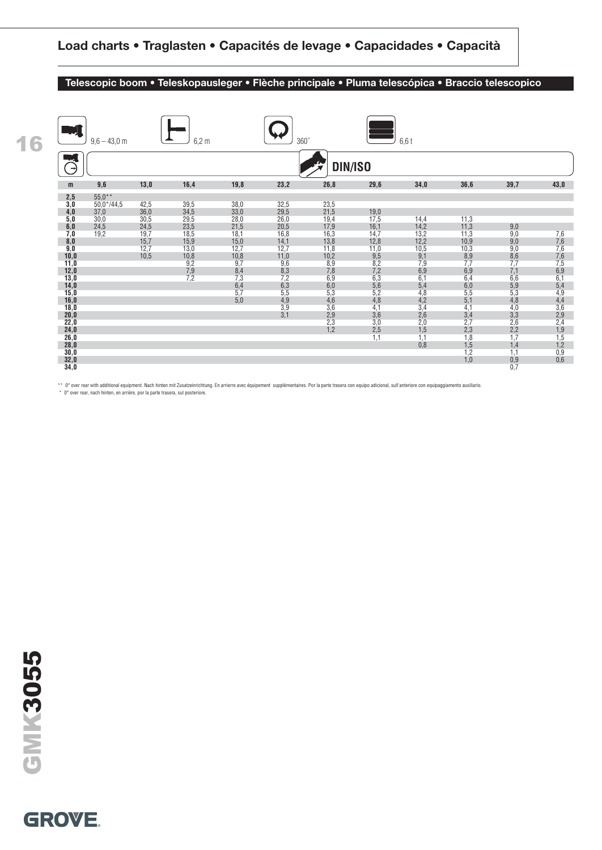#### **Telescopic boom • Teleskopausleger • Flèche principale • Pluma telescópica • Braccio telescopico**

**18,0** 3,6 4,1 4,1 4,0 3,6 **20,0** 3,1 2,9 3,6 2,6 3,4 3,3 2,9 **22,0** 2.3 3,0 2,0 2,7 2,6 2,4 **24,0** 1,2 2,5 1,5 2,3 2,2 1,9 **26,0** 1,1 1,1 1,8 1,7 1,5 **28,0** 0,8 1,5 1,4 1,2 **30,0** 1,2 1,1 0,9 **32,0** 1,0 0,9 0,6

| 16 |              | $9.6 - 43.0$ m |      | $6,2 \text{ m}$          |                         | $360^\circ$       |                |                   | $6,6$ t           |                   |                          |                                 |
|----|--------------|----------------|------|--------------------------|-------------------------|-------------------|----------------|-------------------|-------------------|-------------------|--------------------------|---------------------------------|
|    |              |                |      |                          |                         |                   | DIN/ISO        |                   |                   |                   |                          |                                 |
|    | m            | 9,6            | 13,0 | 16,4                     | 19,8                    | 23,2              | 26,8           | 29,6              | 34,0              | 36,6              | 39,7                     | 43,0                            |
|    | 2,5          | $55,0**$       |      |                          |                         |                   |                |                   |                   |                   |                          |                                 |
|    | 3,0          | $50.0* / 44.5$ | 42,5 | 39,5                     | 38,0                    | 32,5              | 23,5           |                   |                   |                   |                          |                                 |
|    | 4,0          | 37,0           | 36,0 | 34,5                     | 33,0                    | 29,5              | 21,5           | 19,0              |                   |                   |                          |                                 |
|    | 5,0          | 30,0           | 30,5 | 29,5                     | 28,0                    | 26,0              | 19,4           | 17,5              | 14,4              | 11,3              |                          |                                 |
|    | 6,0          | 24,5           | 24,5 | 23,5                     | 21,5                    | 20,5              | 17,9           | 16,1              | 14,2              | 11,3              | 9,0                      |                                 |
|    | 7,0          | 19,2           | 19,7 | 18,5                     | 18,1                    | 16,8              | 16,3           | 14,7              | 13,2              | 11,3              | $\frac{9,0}{9,0}$        |                                 |
|    | 8,0          |                | 15,7 | 15,9                     | 15,0                    | 14,1              | 13,8           | 12,8              | 12,2              | 10,9              |                          | 7,6<br>7,6<br>7,6<br>7,6<br>7,5 |
|    | 9,0          |                | 12,7 | 13,0                     | 12,7                    | 12,7              | 11,8           | 11,0              | 10,5              | 10,3              |                          |                                 |
|    | 10,0         |                | 10,5 | 10,8                     | 10,8                    | 11,0              | 10,2           | 9,5               | 9,1               | $\frac{8,9}{7,7}$ | $\frac{9,0}{8,6}$<br>7,7 |                                 |
|    | 11,0         |                |      |                          | 9,7                     | 9,6               | 8,9            | 8,2               | 7,9               |                   |                          |                                 |
|    | 12,0         |                |      | $\frac{9,2}{7,9}$<br>7,2 | $\frac{8,4}{7,3}$       | $\frac{8,3}{7,2}$ | $7,8$<br>6,9   | $7,2$<br>6,3      | $6,9$<br>$6,1$    | $6,9$<br>$6,4$    | $7,1$<br>$6,6$           | $6,9$<br>$6,1$                  |
|    | 13,0         |                |      |                          |                         |                   |                |                   |                   |                   |                          |                                 |
|    | 14,0<br>15,0 |                |      |                          | $6,4$<br>$5,7$<br>$5,0$ | $6,3$<br>$5,5$    | $6,0$<br>$5,3$ | $\frac{5,6}{5,2}$ | $\frac{5,4}{4,8}$ | $6,0$<br>$5,5$    | $\frac{5,9}{5,3}$<br>4,8 | $\frac{5,4}{4,9}$               |
|    | 16,0         |                |      |                          |                         | 4,9               | 4,6            | 4,8               | 4,2               | 5,1               |                          | 4,4                             |
|    |              |                |      |                          |                         |                   |                |                   |                   |                   |                          |                                 |

\*\* 0° over rear with additional equipment. Nach hinten mit Zusatzeinrichtung. En arrierre avec équipement supplémentaires. Por la parte trasera con equipo adicional, sull'anteriore con equipaggiamento ausiliario.

**34,0** 0,7

I\* 0° over rear, nach hinten, en arrière, por la parte trasera, sul posteriore.

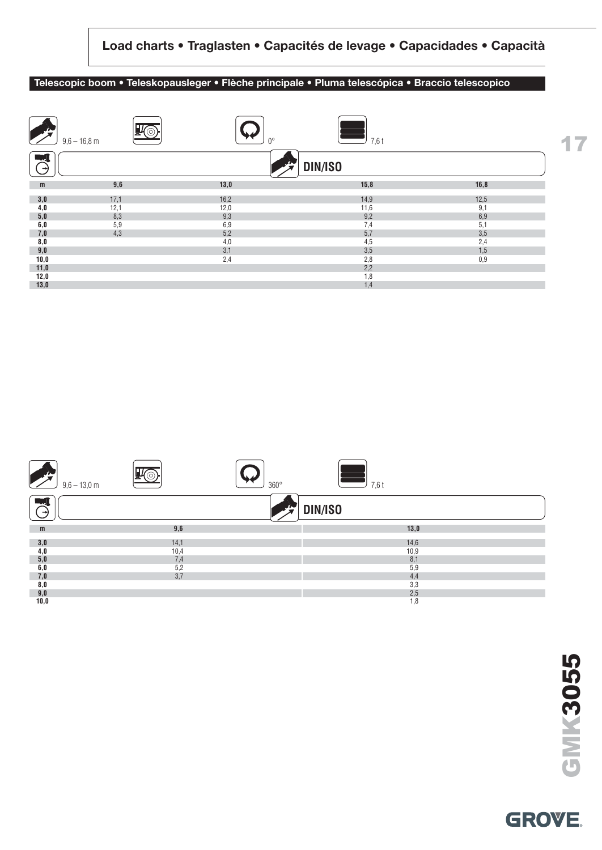#### **Telescopic boom • Teleskopausleger • Flèche principale • Pluma telescópica • Braccio telescopico**

|                      | $9,6 - 16,8$ m |      | 7,6 t<br>no |      | z. |
|----------------------|----------------|------|-------------|------|----|
| - 7<br>$\rightarrow$ |                |      | DIN/ISO     |      |    |
| m                    | 9,6            | 13,0 | 15,8        | 16,8 |    |
| 3,0                  | 17,1           | 16,2 | 14,9        | 12,5 |    |
| 4,0                  | 12,1           | 12,0 | 11,6        | 9,1  |    |
| 5,0                  | 8,3            | 9,3  | 9,2         | 6,9  |    |
| 6,0                  | 5,9            | 6,9  | 7,4         | 5,1  |    |
| 7,0                  | 4,3            | 5,2  | 5,7         | 3,5  |    |
| 8,0                  |                | 4,0  | 4,5         | 2,4  |    |
| 9,0                  |                | 3,1  | 3,5         | 1,5  |    |
| 10,0                 |                | 2,4  | 2,8         | 0,9  |    |
| 11,0                 |                |      | 2,2         |      |    |
| 12,0                 |                |      | 1,8         |      |    |
| 13,0                 |                |      | 1,4         |      |    |



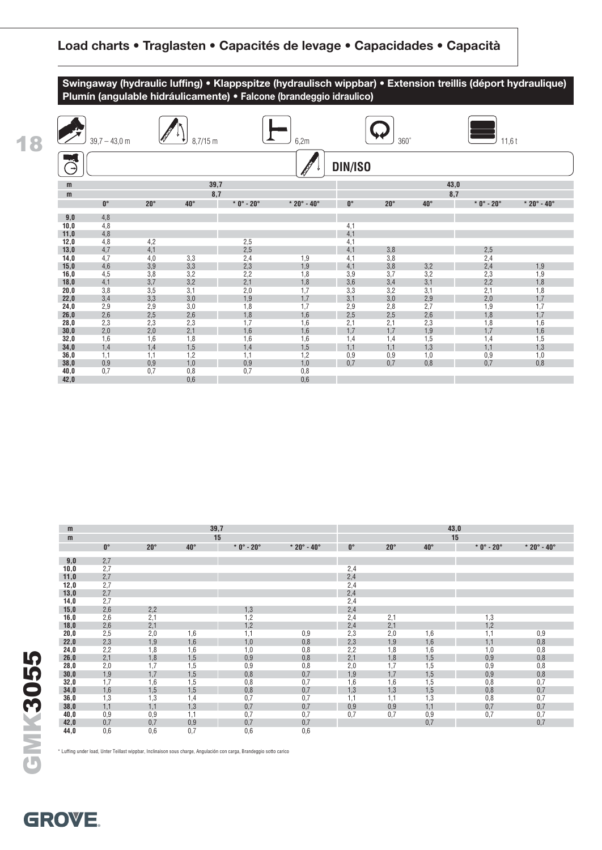**Swingaway (hydraulic luffing) • Klappspitze (hydraulisch wippbar) • Extension treillis (déport hydraulique) Plumín (angulable hidráulicamente) • Falcone (brandeggio idraulico)**



| m           |             |              |              | 39,7         |                             |             |              |              | 43,0         |                             |
|-------------|-------------|--------------|--------------|--------------|-----------------------------|-------------|--------------|--------------|--------------|-----------------------------|
| m           |             |              |              | 15           |                             |             |              |              | 15           |                             |
|             | $0^{\circ}$ | $20^{\circ}$ | $40^{\circ}$ | $*$ 0° - 20° | $* 20^{\circ} - 40^{\circ}$ | $0^{\circ}$ | $20^{\circ}$ | $40^{\circ}$ | $*$ 0° - 20° | $* 20^{\circ} - 40^{\circ}$ |
|             |             |              |              |              |                             |             |              |              |              |                             |
| 9,0<br>10,0 | 2,7<br>2,7  |              |              |              |                             |             |              |              |              |                             |
|             |             |              |              |              |                             | 2,4         |              |              |              |                             |
| 11,0        | 2,7         |              |              |              |                             | 2,4         |              |              |              |                             |
| 12,0        | 2,7         |              |              |              |                             | 2,4         |              |              |              |                             |
| 13,0        | 2,7         |              |              |              |                             | 2,4         |              |              |              |                             |
| 14,0        | 2,7         |              |              |              |                             | 2,4         |              |              |              |                             |
| 15,0        | 2,6         | 2,2          |              | 1,3          |                             | 2,4         |              |              |              |                             |
| 16,0        | 2,6         | 2,1          |              | 1,2          |                             | 2,4         | 2,1          |              | 1,3          |                             |
| 18,0        | 2,6         | 2,1          |              | 1,2          |                             | 2,4         | 2,1          |              | 1,2          |                             |
| 20,0        | 2,5         | 2,0          | 1,6          | 1,1          | 0,9                         | 2,3         | 2,0          | 1,6          | 1,1          | 0,9                         |
| 22,0        | 2,3         | 1,9          | 1,6          | 1,0          | 0,8                         | 2,3         | 1,9          | 1,6          | 1,1          | 0,8                         |
| 24,0        | 2,2         | 1,8          | 1,6          | 1,0          | 0,8                         | 2,2         | 1,8          | 1,6          | 1,0          | 0,8                         |
| 26,0        | 2,1         | 1,8          | 1,5          | 0,9          | 0,8                         | 2,1         | 1,8          | 1,5          | 0,9          | 0,8                         |
| 28,0        | 2,0         | 1,7          | 1,5          | 0,9          | 0,8                         | 2,0         | 1,7          | 1,5          | 0,9          | 0,8                         |
| 30,0        | 1,9         | 1,7          | 1,5          | 0,8          | 0,7                         | 1,9         | 1,7          | 1,5          | 0,9          | 0,8                         |
| 32,0        | 1,7         | 1,6          | 1,5          | 0,8          | 0,7                         | 1,6         | 1,6          | 1,5          | 0,8          | 0,7                         |
| 34,0        | 1,6         | 1,5          | 1,5          | 0,8          | 0,7                         | 1,3         | 1,3          | 1,5          | 0,8          | 0,7                         |
| 36,0        | 1,3         | 1,3          | 1,4          | 0,7          | 0,7                         | 1,1         | 1,1          | 1,3          | 0,8          | 0,7                         |
| 38,0        | 1,1         | 1,1          | 1,3          | 0,7          | 0,7                         | 0,9         | 0,9          | 1,1          | 0,7          | 0,7                         |
| 40,0        | 0,9         | 0,9          | 1.1          | 0,7          | 0,7                         | 0,7         | 0,7          | 0,9          | 0,7          | 0,7                         |
| 42,0        | 0,7         | 0,7          | 0,9          | 0,7          | 0,7                         |             |              | 0,7          |              | 0,7                         |
| 44,0        | 0,6         | 0,6          | 0,7          | 0,6          | 0,6                         |             |              |              |              |                             |

\* Luffing under load, Unter Teillast wippbar, Inclinaison sous charge, Angulación con carga, Brandeggio sotto carico

# GMK3055 **GMK3055**

**18**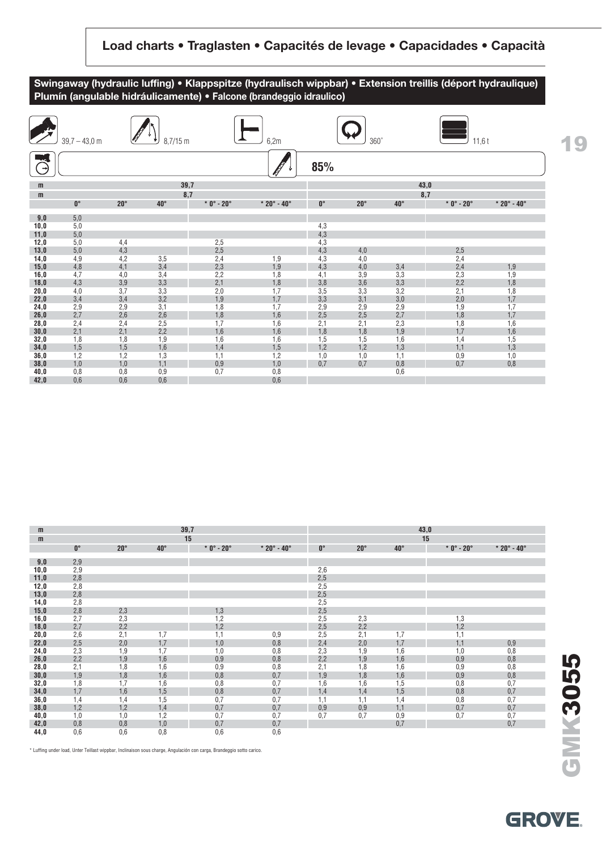



| m    |             |              |              | 39,7        |                             |             |              |            | 43,0        |                             |
|------|-------------|--------------|--------------|-------------|-----------------------------|-------------|--------------|------------|-------------|-----------------------------|
| m    |             |              |              | 15          |                             |             |              |            | 15          |                             |
|      | $0^{\circ}$ | $20^{\circ}$ | $40^{\circ}$ | $*0° - 20°$ | $* 20^{\circ} - 40^{\circ}$ | $0^{\circ}$ | $20^{\circ}$ | $40^\circ$ | $*0° - 20°$ | $* 20^{\circ} - 40^{\circ}$ |
| 9,0  | 2,9         |              |              |             |                             |             |              |            |             |                             |
| 10,0 | 2,9         |              |              |             |                             | 2,6         |              |            |             |                             |
| 11,0 | 2,8         |              |              |             |                             | 2,5         |              |            |             |                             |
| 12,0 | 2,8         |              |              |             |                             | 2,5         |              |            |             |                             |
| 13,0 | 2,8         |              |              |             |                             | 2,5         |              |            |             |                             |
| 14,0 | 2,8         |              |              |             |                             | 2,5         |              |            |             |                             |
| 15,0 | 2,8         | 2,3          |              | 1,3         |                             | 2,5         |              |            |             |                             |
| 16,0 | 2,7         | 2,3          |              | 1,2         |                             | 2,5         | 2,3          |            | 1,3         |                             |
| 18,0 | 2,7         | 2,2          |              | 1,2         |                             | 2,5         | 2,2          |            | 1,2         |                             |
| 20,0 | 2,6         | 2,1          | 1,7          | 1,1         | 0,9                         | 2,5         | 2,1          | 1,7        | 1,1         |                             |
| 22,0 | 2,5         | 2,0          | 1,7          | 1,0         | 0,8                         | 2,4         | 2,0          | 1,7        | 1,1         | 0,9                         |
| 24,0 | 2,3         | 1,9          | 1,7          | 1,0         | 0,8                         | 2,3         | 1,9          | 1,6        | 1,0         | 0,8                         |
| 26,0 | 2,2         | 1,9          | 1,6          | 0,9         | 0,8                         | 2,2         | 1,9          | 1,6        | 0,9         | 0,8                         |
| 28,0 | 2,1         | 1,8          | 1,6          | 0,9         | 0,8                         | 2,1         | 1,8          | 1,6        | 0,9         | 0,8                         |
| 30,0 | 1,9         | 1,8          | 1,6          | 0,8         | 0,7                         | 1,9         | 1,8          | 1,6        | 0,9         | 0,8                         |
| 32,0 | 1,8         | 1,7          | 1,6          | 0,8         | 0,7                         | 1,6         | 1,6          | 1,5        | 0,8         | 0,7                         |
| 34,0 | 1,7         | 1,6          | 1,5          | 0,8         | 0,7                         | 1,4         | 1,4          | 1,5        | 0,8         | 0,7                         |
| 36,0 | 1,4         | 1,4          | 1,5          | 0,7         | 0,7                         | 1,1         | 1,1          | 1,4        | 0,8         | 0,7                         |
| 38,0 | 1,2         | 1,2          | 1,4          | 0,7         | 0,7                         | 0,9         | 0,9          | 1,1        | 0,7         | 0,7                         |
| 40,0 | 1,0         | 1,0          | 1,2          | 0,7         | 0,7                         | 0,7         | 0,7          | 0,9        | 0,7         | 0,7                         |
| 42,0 | 0,8         | 0,8          | 1,0          | 0,7         | 0,7                         |             |              | 0,7        |             | 0,7                         |
| 44,0 | 0,6         | 0,6          | 0,8          | 0,6         | 0,6                         |             |              |            |             |                             |

\* Luffing under load, Unter Teillast wippbar, Inclinaison sous charge, Angulación con carga, Brandeggio sotto carico.

**GROVE**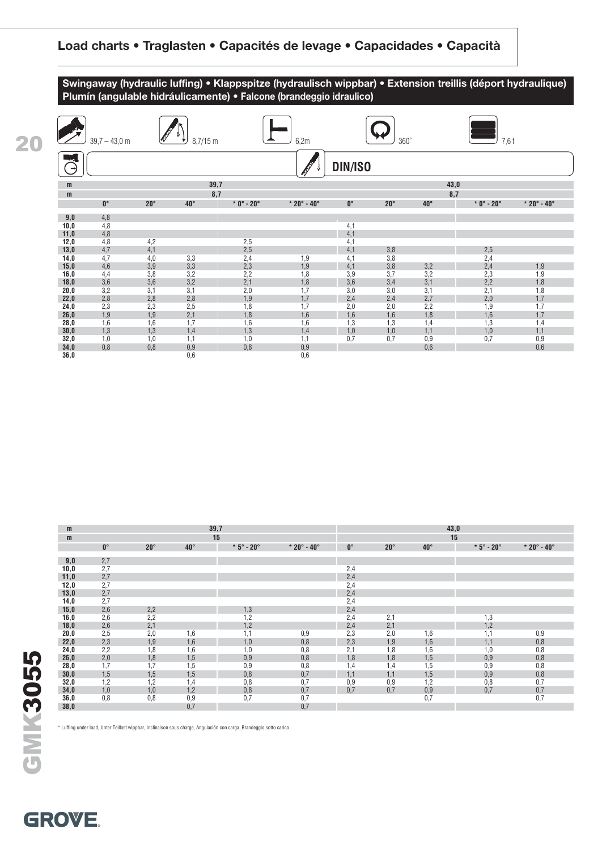**Swingaway (hydraulic luffing) • Klappspitze (hydraulisch wippbar) • Extension treillis (déport hydraulique) Plumín (angulable hidráulicamente) • Falcone (brandeggio idraulico)**

| <b>The Second Second</b> | $39,7 - 43,0$ m |            | $8,7/15$ m   |              | 6,2m                        |            | $360^\circ$  |              | $7,6$ t                  |                             |  |  |  |  |
|--------------------------|-----------------|------------|--------------|--------------|-----------------------------|------------|--------------|--------------|--------------------------|-----------------------------|--|--|--|--|
| $\rightarrow$            |                 |            |              |              |                             | DIN/ISO    |              |              |                          |                             |  |  |  |  |
| m                        |                 |            | 39,7         |              |                             |            |              |              | 43,0                     |                             |  |  |  |  |
| m                        |                 |            | 8,7          |              |                             |            |              |              | 8,7                      |                             |  |  |  |  |
|                          | $0^\circ$       | $20^\circ$ | $40^{\circ}$ | $*$ 0° - 20° | $* 20^{\circ} - 40^{\circ}$ | $0^\circ$  | $20^{\circ}$ | $40^{\circ}$ | $*0^\circ$ - 20 $^\circ$ | $* 20^{\circ} - 40^{\circ}$ |  |  |  |  |
| 9,0                      | 4,8             |            |              |              |                             |            |              |              |                          |                             |  |  |  |  |
| 10,0                     | 4,8             |            |              |              |                             | 4,1        |              |              |                          |                             |  |  |  |  |
| 11,0                     | 4,8             |            |              |              |                             | 4,1        |              |              |                          |                             |  |  |  |  |
| 12,0                     | 4,8             | 4,2        |              | 2,5          |                             | 4,1        |              |              |                          |                             |  |  |  |  |
| 13,0                     | 4,7             | 4,1        |              | 2,5          |                             | 4,1        | 3,8          |              | 2,5                      |                             |  |  |  |  |
| 14,0                     | 4,7             | 4,0        | 3,3          | 2,4          | 1,9                         | 4,1        | 3,8          |              | 2,4                      |                             |  |  |  |  |
| 15,0                     | 4,6             | 3,9        | 3,3          | 2,3          | 1,9                         | 4,1        | 3,8          | 3,2          | 2,4                      | 1,9                         |  |  |  |  |
| 16,0                     | 4,4             | 3,8        | 3,2          | 2,2          | 1,8                         | 3,9        | 3,7          | 3,2          | 2,3                      | 1,9                         |  |  |  |  |
| 18,0                     | 3,6             | 3,6        | 3,2          | 2,1          | 1,8                         | 3,6        | 3,4          | 3,1          | 2,2                      | $\frac{1,8}{1,8}$           |  |  |  |  |
| 20,0                     | 3,2             | 3,1        | 3,1          | 2,0          | 1,7                         | 3,0        | 3,0          | 3,1          | 2,1                      |                             |  |  |  |  |
| 22,0                     | 2,8             | 2,8        | 2,8          | 1,9          | 1,7                         | 2,4        | 2,4          | 2,7          | 2,0                      | 1,7                         |  |  |  |  |
| 24,0                     | 2,3             | 2,3        | 2,5          | 1,8          | 1,7                         | 2,0        | 2,0          | 2,2          | 1,9                      | 1,7                         |  |  |  |  |
| 26,0                     | 1,9             | 1,9        | 2,1          | 1,8          | 1,6                         | 1,6        | 1,6          | 1,8          | 1,6                      | 1,7                         |  |  |  |  |
| 28,0<br>30,0             | 1,6<br>1,3      | 1,6<br>1,3 | 1,7<br>1,4   | 1,6<br>1,3   | 1,6                         | 1,3<br>1,0 | 1,3          | 1,4<br>1,1   | 1,3<br>1,0               | 1,4                         |  |  |  |  |
| 32,0                     | 1,0             | 1,0        | 1,1          | 1,0          | 1,4<br>1,1                  | 0,7        | 1,0<br>0,7   | 0,9          | 0,7                      | 1,1<br>0,9                  |  |  |  |  |
| 34,0                     | 0,8             | 0,8        | 0,9          | 0,8          | 0,9                         |            |              | 0,6          |                          | 0,6                         |  |  |  |  |
| 36,0                     |                 |            | 0,6          |              | 0,6                         |            |              |              |                          |                             |  |  |  |  |

| m    |             |            |              | 39,7                     |                             |             | 43,0         |            |                          |                                  |  |  |  |  |  |  |
|------|-------------|------------|--------------|--------------------------|-----------------------------|-------------|--------------|------------|--------------------------|----------------------------------|--|--|--|--|--|--|
| m    |             |            |              | 15                       |                             |             |              |            | 15                       |                                  |  |  |  |  |  |  |
|      | $0^{\circ}$ | $20^\circ$ | $40^{\circ}$ | $*5^\circ$ - 20 $^\circ$ | $* 20^{\circ} - 40^{\circ}$ | $0^{\circ}$ | $20^{\circ}$ | $40^\circ$ | $*5^\circ$ - 20 $^\circ$ | $* 20^{\circ} - 40^{\circ}$      |  |  |  |  |  |  |
|      |             |            |              |                          |                             |             |              |            |                          |                                  |  |  |  |  |  |  |
| 9,0  | 2,7         |            |              |                          |                             |             |              |            |                          |                                  |  |  |  |  |  |  |
| 10,0 | 2,7         |            |              |                          |                             | 2,4         |              |            |                          |                                  |  |  |  |  |  |  |
| 11,0 | 2,7         |            |              |                          |                             | 2,4         |              |            |                          |                                  |  |  |  |  |  |  |
| 12,0 | 2,7         |            |              |                          |                             | 2,4         |              |            |                          |                                  |  |  |  |  |  |  |
| 13,0 | 2,7         |            |              |                          |                             | 2,4         |              |            |                          |                                  |  |  |  |  |  |  |
| 14,0 | 2,7         |            |              |                          |                             | 2,4         |              |            |                          |                                  |  |  |  |  |  |  |
| 15,0 | 2,6         | 2,2        |              | 1,3                      |                             | 2,4         |              |            |                          |                                  |  |  |  |  |  |  |
| 16,0 | 2,6         | 2,2        |              | 1,2                      |                             | 2,4         | 2,1          |            | 1,3                      |                                  |  |  |  |  |  |  |
| 18,0 | 2,6         | 2,1        |              | 1,2                      |                             | 2,4         | 2,1          |            | 1,2                      |                                  |  |  |  |  |  |  |
| 20,0 | 2,5         | 2,0        | 1,6          | 1,1                      | 0,9                         | 2,3         | 2,0          | 1,6        | 1,1                      | 0,9                              |  |  |  |  |  |  |
| 22,0 | 2,3         | 1,9        | 1,6          | 1,0                      | 0,8                         | 2,3         | 1,9          | 1,6        | 1,1                      | 0,8                              |  |  |  |  |  |  |
| 24,0 | 2,2         | 1,8        | 1,6          | 1,0                      | 0,8                         | 2,1         | 1,8          | 1,6        | 1,0                      |                                  |  |  |  |  |  |  |
| 26,0 | 2,0         | 1,8        | 1,5          | 0,9                      | 0,8                         | 1,8         | 1,8          | 1,5        | 0,9                      |                                  |  |  |  |  |  |  |
| 28,0 | 1,7         | 1,7        | 1,5          | 0,9                      | 0,8                         | 1,4         | 1,4          | 1,5        | 0,9                      | $0,8$<br>$0,8$<br>$0,8$<br>$0,8$ |  |  |  |  |  |  |
| 30,0 | 1,5         | 1,5        | 1,5          | 0,8                      | 0,7                         | 1,1         | 1,1          | 1,5        | 0,9                      | 0,8                              |  |  |  |  |  |  |
| 32,0 | 1,2         | 1,2        | 1,4          | 0,8                      | 0,7                         | 0,9         | 0,9          | 1,2        | 0,8                      | 0,7                              |  |  |  |  |  |  |
| 34,0 | 1,0         | 1,0        | 1,2          | 0,8                      | 0,7                         | 0,7         | 0,7          | 0,9        | 0,7                      | 0,7                              |  |  |  |  |  |  |
| 36,0 | 0,8         | 0,8        | 0,9          | 0,7                      | 0,7                         |             |              | 0,7        |                          | 0,7                              |  |  |  |  |  |  |
| 38,0 |             |            | 0,7          |                          | 0,7                         |             |              |            |                          |                                  |  |  |  |  |  |  |

\* Luffing under load, Unter Teillast wippbar, Inclinaison sous charge, Angulación con carga, Brandeggio sotto carico

GMK3055 **GMK3055**

**20**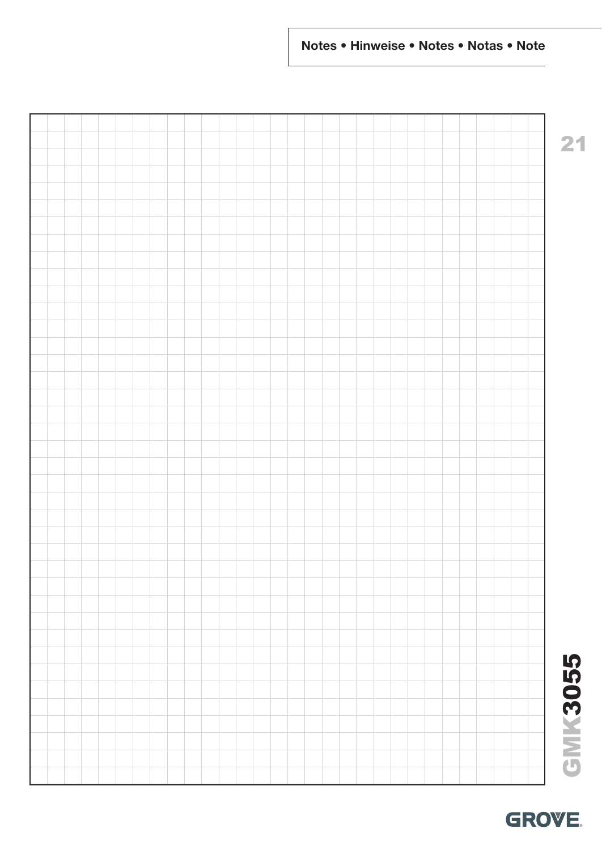# GMK3055 **GMK3055**

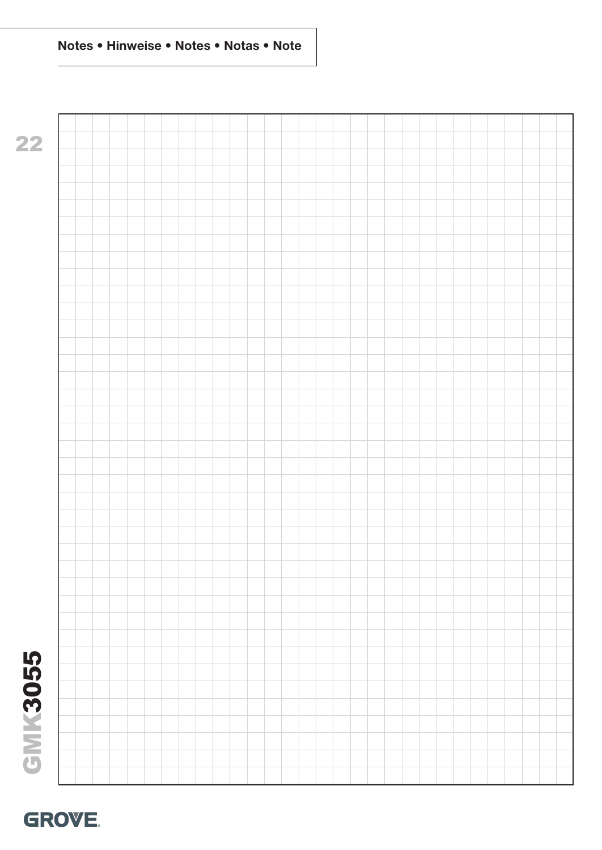

**22**

# GMK3055 **GMK3055**

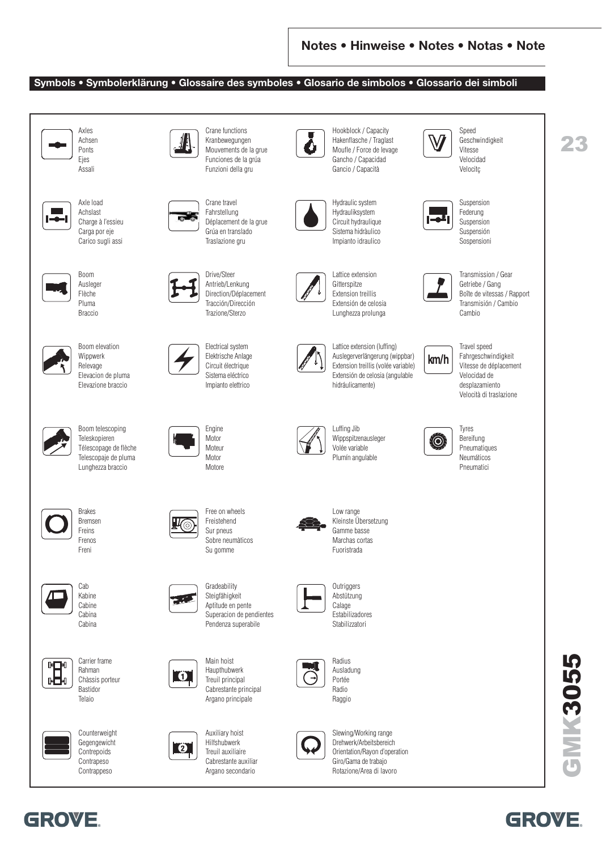**GROVE** 

#### **Symbols • Symbolerklärung • Glossaire des symboles • Glosario de simbolos • Glossario dei simboli**